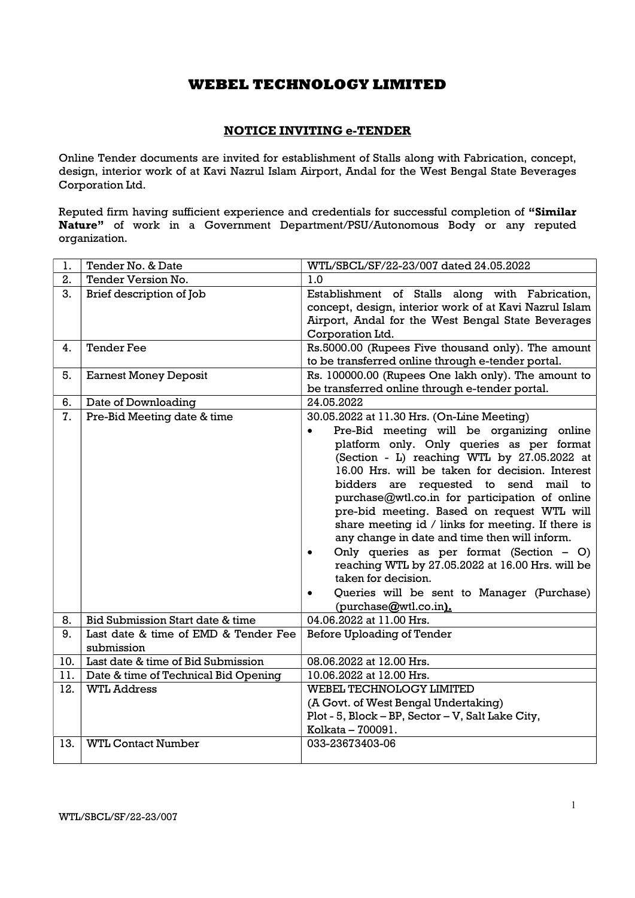## NOTICE INVITING e-TENDER

Online Tender documents are invited for establishment of Stalls along with Fabrication, concept, design, interior work of at Kavi Nazrul Islam Airport, Andal for the West Bengal State Beverages Corporation Ltd.

Reputed firm having sufficient experience and credentials for successful completion of "Similar Nature" of work in a Government Department/PSU/Autonomous Body or any reputed organization.

| 1.  | Tender No. & Date                                  | WTL/SBCL/SF/22-23/007 dated 24.05.2022                                                                                                                                                                                                                                                                                                                                                                                                                                                                                                                                                                                                                                                                        |  |
|-----|----------------------------------------------------|---------------------------------------------------------------------------------------------------------------------------------------------------------------------------------------------------------------------------------------------------------------------------------------------------------------------------------------------------------------------------------------------------------------------------------------------------------------------------------------------------------------------------------------------------------------------------------------------------------------------------------------------------------------------------------------------------------------|--|
| 2.  | Tender Version No.                                 | 1.0                                                                                                                                                                                                                                                                                                                                                                                                                                                                                                                                                                                                                                                                                                           |  |
| 3.  | Brief description of Job                           | Establishment of Stalls along with Fabrication,<br>concept, design, interior work of at Kavi Nazrul Islam<br>Airport, Andal for the West Bengal State Beverages<br>Corporation Ltd.                                                                                                                                                                                                                                                                                                                                                                                                                                                                                                                           |  |
| 4.  | <b>Tender Fee</b>                                  | Rs.5000.00 (Rupees Five thousand only). The amount<br>to be transferred online through e-tender portal.                                                                                                                                                                                                                                                                                                                                                                                                                                                                                                                                                                                                       |  |
| 5.  | <b>Earnest Money Deposit</b>                       | Rs. 100000.00 (Rupees One lakh only). The amount to<br>be transferred online through e-tender portal.                                                                                                                                                                                                                                                                                                                                                                                                                                                                                                                                                                                                         |  |
| 6.  | Date of Downloading                                | 24.05.2022                                                                                                                                                                                                                                                                                                                                                                                                                                                                                                                                                                                                                                                                                                    |  |
| 7.  | Pre-Bid Meeting date & time                        | 30.05.2022 at 11.30 Hrs. (On-Line Meeting)<br>Pre-Bid meeting will be organizing online<br>$\bullet$<br>platform only. Only queries as per format<br>(Section - L) reaching WTL by 27.05.2022 at<br>16.00 Hrs. will be taken for decision. Interest<br>bidders are requested to send mail to<br>purchase@wtl.co.in for participation of online<br>pre-bid meeting. Based on request WTL will<br>share meeting id / links for meeting. If there is<br>any change in date and time then will inform.<br>Only queries as per format (Section - O)<br>$\bullet$<br>reaching WTL by 27.05.2022 at 16.00 Hrs. will be<br>taken for decision.<br>Queries will be sent to Manager (Purchase)<br>(purchase@wtl.co.in). |  |
| 8.  | Bid Submission Start date & time                   | 04.06.2022 at 11.00 Hrs.                                                                                                                                                                                                                                                                                                                                                                                                                                                                                                                                                                                                                                                                                      |  |
| 9.  | Last date & time of EMD & Tender Fee<br>submission | Before Uploading of Tender                                                                                                                                                                                                                                                                                                                                                                                                                                                                                                                                                                                                                                                                                    |  |
| 10. | Last date & time of Bid Submission                 | 08.06.2022 at 12.00 Hrs.                                                                                                                                                                                                                                                                                                                                                                                                                                                                                                                                                                                                                                                                                      |  |
| 11. | Date & time of Technical Bid Opening               | 10.06.2022 at 12.00 Hrs.                                                                                                                                                                                                                                                                                                                                                                                                                                                                                                                                                                                                                                                                                      |  |
| 12. | <b>WTL Address</b>                                 | <b>WEBEL TECHNOLOGY LIMITED</b><br>(A Govt. of West Bengal Undertaking)<br>Plot - 5, Block - BP, Sector - V, Salt Lake City,<br>Kolkata - 700091.                                                                                                                                                                                                                                                                                                                                                                                                                                                                                                                                                             |  |
| 13. | <b>WTL Contact Number</b>                          | 033-23673403-06                                                                                                                                                                                                                                                                                                                                                                                                                                                                                                                                                                                                                                                                                               |  |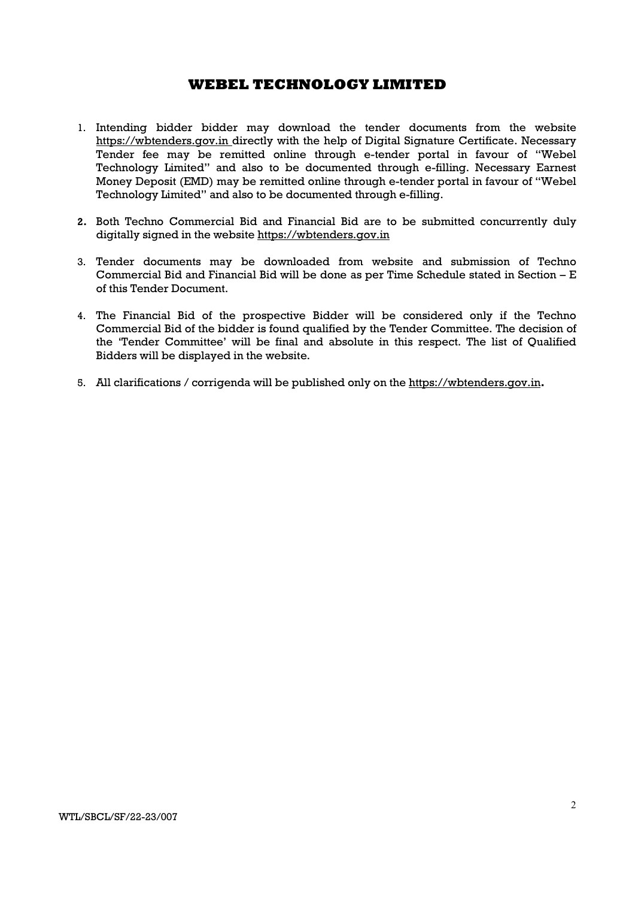- 1. Intending bidder bidder may download the tender documents from the website https://wbtenders.gov.in directly with the help of Digital Signature Certificate. Necessary Tender fee may be remitted online through e-tender portal in favour of "Webel Technology Limited" and also to be documented through e-filling. Necessary Earnest Money Deposit (EMD) may be remitted online through e-tender portal in favour of "Webel Technology Limited" and also to be documented through e-filling.
- 2. Both Techno Commercial Bid and Financial Bid are to be submitted concurrently duly digitally signed in the website https://wbtenders.gov.in
- 3. Tender documents may be downloaded from website and submission of Techno Commercial Bid and Financial Bid will be done as per Time Schedule stated in Section – E of this Tender Document.
- 4. The Financial Bid of the prospective Bidder will be considered only if the Techno Commercial Bid of the bidder is found qualified by the Tender Committee. The decision of the 'Tender Committee' will be final and absolute in this respect. The list of Qualified Bidders will be displayed in the website.
- 5. All clarifications / corrigenda will be published only on the https://wbtenders.gov.in.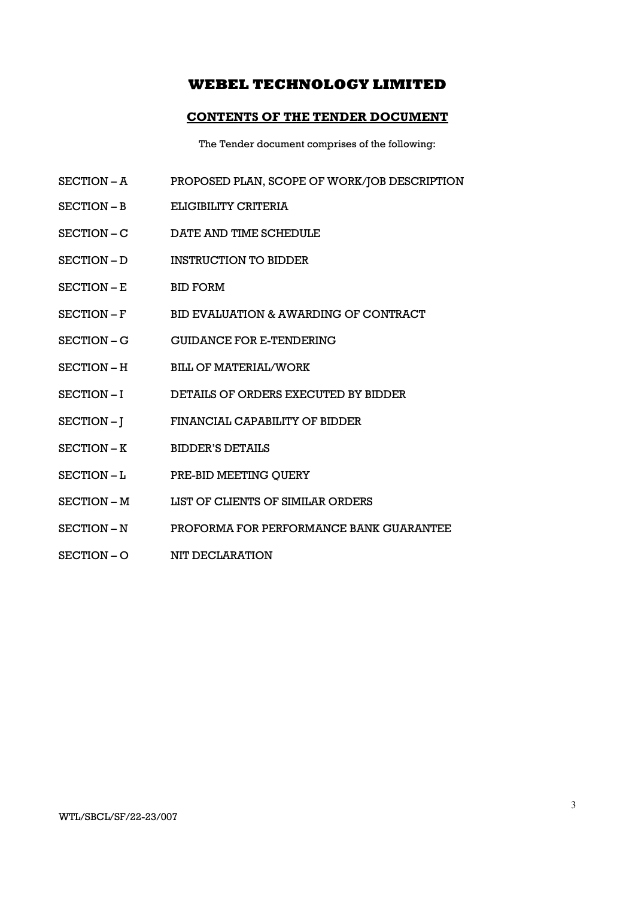### CONTENTS OF THE TENDER DOCUMENT

The Tender document comprises of the following:

- SECTION A PROPOSED PLAN, SCOPE OF WORK/JOB DESCRIPTION
- SECTION B ELIGIBILITY CRITERIA
- SECTION C DATE AND TIME SCHEDULE
- SECTION D INSTRUCTION TO BIDDER
- SECTION E BID FORM
- SECTION F BID EVALUATION & AWARDING OF CONTRACT
- SECTION G GUIDANCE FOR E-TENDERING
- SECTION H BILL OF MATERIAL/WORK
- SECTION I DETAILS OF ORDERS EXECUTED BY BIDDER
- SECTION J FINANCIAL CAPABILITY OF BIDDER
- SECTION K BIDDER'S DETAILS
- SECTION L PRE-BID MEETING OUERY
- SECTION M LIST OF CLIENTS OF SIMILAR ORDERS
- SECTION N PROFORMA FOR PERFORMANCE BANK GUARANTEE
- SECTION O NIT DECLARATION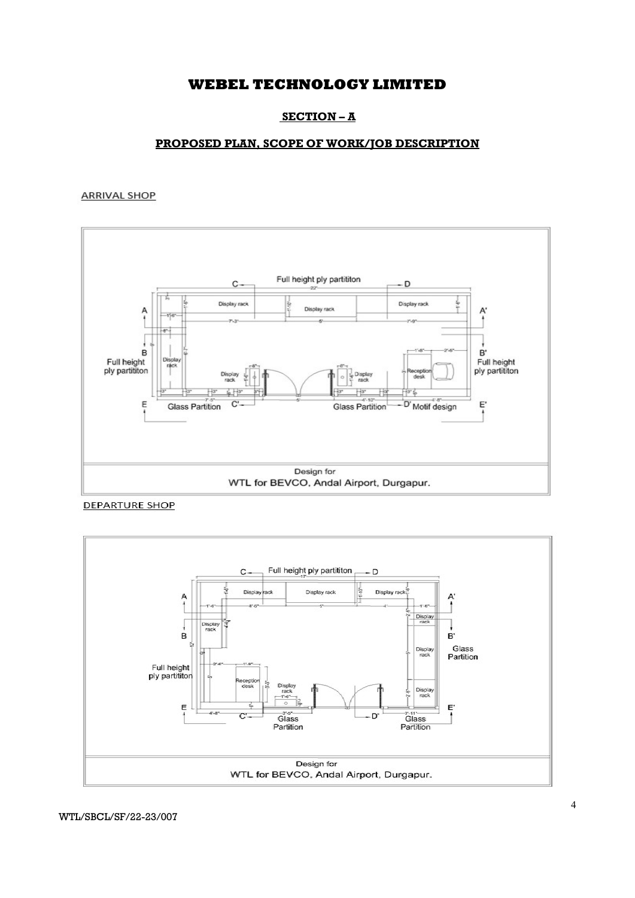## SECTION – A

### PROPOSED PLAN, SCOPE OF WORK/JOB DESCRIPTION

### **ARRIVAL SHOP**



**DEPARTURE SHOP** 

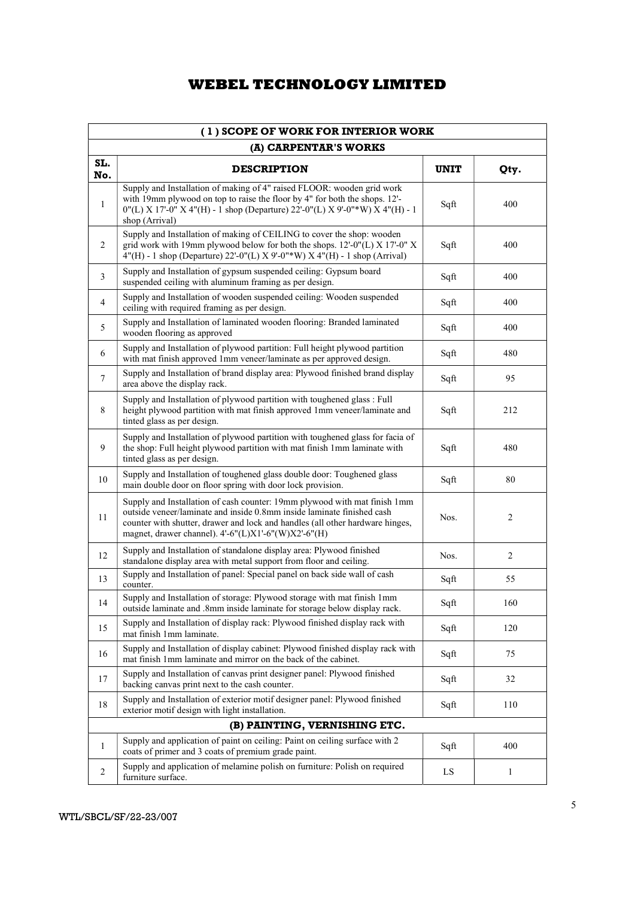| (1) SCOPE OF WORK FOR INTERIOR WORK |                                                                                                                                                                                                                                                                                             |             |                |  |  |  |
|-------------------------------------|---------------------------------------------------------------------------------------------------------------------------------------------------------------------------------------------------------------------------------------------------------------------------------------------|-------------|----------------|--|--|--|
|                                     | (A) CARPENTAR'S WORKS                                                                                                                                                                                                                                                                       |             |                |  |  |  |
| SL.<br>No.                          | <b>DESCRIPTION</b>                                                                                                                                                                                                                                                                          | <b>UNIT</b> | Qty.           |  |  |  |
| $\mathbf{1}$                        | Supply and Installation of making of 4" raised FLOOR: wooden grid work<br>with 19mm plywood on top to raise the floor by 4" for both the shops. 12'-<br>$0''(L)$ X 17'-0" X 4"(H) - 1 shop (Departure) 22'-0"(L) X 9'-0"*W) X 4"(H) - 1<br>shop (Arrival)                                   | Sqft        | 400            |  |  |  |
| 2                                   | Supply and Installation of making of CEILING to cover the shop: wooden<br>grid work with 19mm plywood below for both the shops. 12'-0"(L) X 17'-0" X<br>4"(H) - 1 shop (Departure) 22'-0"(L) X 9'-0"*W) X 4"(H) - 1 shop (Arrival)                                                          | Sqft        | 400            |  |  |  |
| 3                                   | Supply and Installation of gypsum suspended ceiling: Gypsum board<br>suspended ceiling with aluminum framing as per design.                                                                                                                                                                 | Sqft        | 400            |  |  |  |
| 4                                   | Supply and Installation of wooden suspended ceiling: Wooden suspended<br>ceiling with required framing as per design.                                                                                                                                                                       | Sqft        | 400            |  |  |  |
| 5                                   | Supply and Installation of laminated wooden flooring: Branded laminated<br>wooden flooring as approved                                                                                                                                                                                      | Sqft        | 400            |  |  |  |
| 6                                   | Supply and Installation of plywood partition: Full height plywood partition<br>with mat finish approved 1mm veneer/laminate as per approved design.                                                                                                                                         | Sqft        | 480            |  |  |  |
| 7                                   | Supply and Installation of brand display area: Plywood finished brand display<br>area above the display rack.                                                                                                                                                                               | Sqft        | 95             |  |  |  |
| 8                                   | Supply and Installation of plywood partition with toughened glass : Full<br>height plywood partition with mat finish approved 1mm veneer/laminate and<br>tinted glass as per design.                                                                                                        | Sqft        | 212            |  |  |  |
| 9                                   | Supply and Installation of plywood partition with toughened glass for facia of<br>the shop: Full height plywood partition with mat finish 1mm laminate with<br>tinted glass as per design.                                                                                                  | Sqft        | 480            |  |  |  |
| 10                                  | Supply and Installation of toughened glass double door: Toughened glass<br>main double door on floor spring with door lock provision.                                                                                                                                                       | Sqft        | 80             |  |  |  |
| 11                                  | Supply and Installation of cash counter: 19mm plywood with mat finish 1mm<br>outside veneer/laminate and inside 0.8mm inside laminate finished cash<br>counter with shutter, drawer and lock and handles (all other hardware hinges,<br>magnet, drawer channel). 4'-6"(L)X1'-6"(W)X2'-6"(H) | Nos.        | 2              |  |  |  |
| 12                                  | Supply and Installation of standalone display area: Plywood finished<br>standalone display area with metal support from floor and ceiling.                                                                                                                                                  | Nos.        | $\overline{2}$ |  |  |  |
| 13                                  | Supply and Installation of panel: Special panel on back side wall of cash<br>counter.                                                                                                                                                                                                       | Sqft        | 55             |  |  |  |
| 14                                  | Supply and Installation of storage: Plywood storage with mat finish 1mm<br>outside laminate and .8mm inside laminate for storage below display rack.                                                                                                                                        | Sqft        | 160            |  |  |  |
| 15                                  | Supply and Installation of display rack: Plywood finished display rack with<br>mat finish 1mm laminate.                                                                                                                                                                                     | Sqft        | 120            |  |  |  |
| 16                                  | Supply and Installation of display cabinet: Plywood finished display rack with<br>mat finish 1mm laminate and mirror on the back of the cabinet.                                                                                                                                            | Sqft        | 75             |  |  |  |
| 17                                  | Supply and Installation of canvas print designer panel: Plywood finished<br>backing canvas print next to the cash counter.                                                                                                                                                                  | Sqft        | 32             |  |  |  |
| 18                                  | Supply and Installation of exterior motif designer panel: Plywood finished<br>exterior motif design with light installation.                                                                                                                                                                | Sqft        | 110            |  |  |  |
|                                     | (B) PAINTING, VERNISHING ETC.                                                                                                                                                                                                                                                               |             |                |  |  |  |
| 1                                   | Supply and application of paint on ceiling: Paint on ceiling surface with 2<br>coats of primer and 3 coats of premium grade paint.                                                                                                                                                          | Sqft        | 400            |  |  |  |
| $\overline{c}$                      | Supply and application of melamine polish on furniture: Polish on required<br>furniture surface.                                                                                                                                                                                            | LS          | 1              |  |  |  |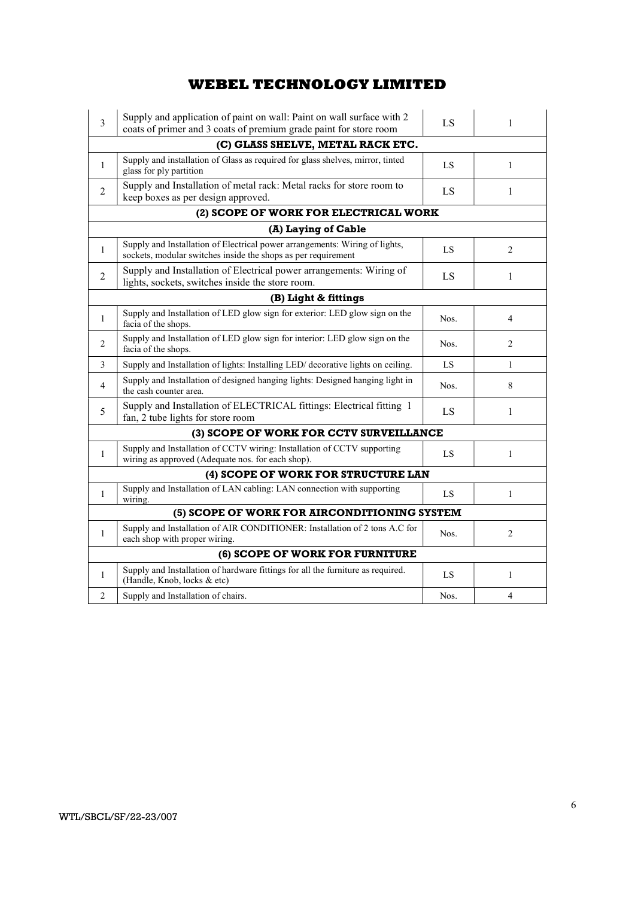| $\overline{3}$                               | Supply and application of paint on wall: Paint on wall surface with 2<br>coats of primer and 3 coats of premium grade paint for store room   | LS   | 1              |  |  |
|----------------------------------------------|----------------------------------------------------------------------------------------------------------------------------------------------|------|----------------|--|--|
|                                              | (C) GLASS SHELVE, METAL RACK ETC.                                                                                                            |      |                |  |  |
| $\mathbf{1}$                                 | Supply and installation of Glass as required for glass shelves, mirror, tinted<br>glass for ply partition                                    | LS   | $\mathbf{1}$   |  |  |
| $\mathfrak{D}$                               | Supply and Installation of metal rack: Metal racks for store room to<br>keep boxes as per design approved.                                   | LS   | 1              |  |  |
|                                              | (2) SCOPE OF WORK FOR ELECTRICAL WORK                                                                                                        |      |                |  |  |
|                                              | (A) Laying of Cable                                                                                                                          |      |                |  |  |
| $\mathbf{1}$                                 | Supply and Installation of Electrical power arrangements: Wiring of lights,<br>sockets, modular switches inside the shops as per requirement | LS   | 2              |  |  |
| 2                                            | Supply and Installation of Electrical power arrangements: Wiring of<br>lights, sockets, switches inside the store room.                      | LS   | 1              |  |  |
|                                              | (B) Light & fittings                                                                                                                         |      |                |  |  |
| $\mathbf{1}$                                 | Supply and Installation of LED glow sign for exterior: LED glow sign on the<br>facia of the shops.                                           | Nos. | 4              |  |  |
| 2                                            | Supply and Installation of LED glow sign for interior: LED glow sign on the<br>facia of the shops.                                           | Nos. | $\mathfrak{D}$ |  |  |
| 3                                            | Supply and Installation of lights: Installing LED/ decorative lights on ceiling.                                                             | LS   | $\mathbf{1}$   |  |  |
| $\overline{4}$                               | Supply and Installation of designed hanging lights: Designed hanging light in<br>the cash counter area.                                      | Nos. | 8              |  |  |
| 5                                            | Supply and Installation of ELECTRICAL fittings: Electrical fitting 1<br>fan, 2 tube lights for store room                                    | LS   | 1              |  |  |
|                                              | (3) SCOPE OF WORK FOR CCTV SURVEILLANCE                                                                                                      |      |                |  |  |
| $\mathbf{1}$                                 | Supply and Installation of CCTV wiring: Installation of CCTV supporting<br>wiring as approved (Adequate nos. for each shop).                 | LS   | $\mathbf{1}$   |  |  |
|                                              | (4) SCOPE OF WORK FOR STRUCTURE LAN                                                                                                          |      |                |  |  |
| $\mathbf{1}$                                 | Supply and Installation of LAN cabling: LAN connection with supporting<br>wiring.                                                            | LS   | $\mathbf{1}$   |  |  |
| (5) SCOPE OF WORK FOR AIRCONDITIONING SYSTEM |                                                                                                                                              |      |                |  |  |
| $\mathbf{1}$                                 | Supply and Installation of AIR CONDITIONER: Installation of 2 tons A.C for<br>each shop with proper wiring.                                  | Nos. | 2              |  |  |
|                                              | (6) SCOPE OF WORK FOR FURNITURE                                                                                                              |      |                |  |  |
| $\mathbf{1}$                                 | Supply and Installation of hardware fittings for all the furniture as required.<br>(Handle, Knob, locks & etc)                               | LS   | $\mathbf{1}$   |  |  |
| 2                                            | Supply and Installation of chairs.                                                                                                           | Nos. | 4              |  |  |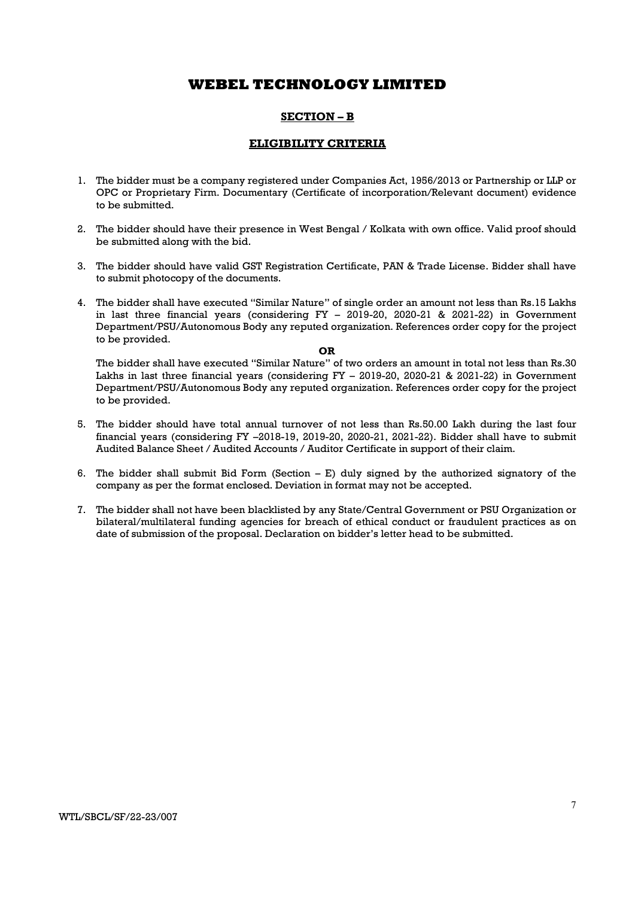### SECTION – B

### ELIGIBILITY CRITERIA

- 1. The bidder must be a company registered under Companies Act, 1956/2013 or Partnership or LLP or OPC or Proprietary Firm. Documentary (Certificate of incorporation/Relevant document) evidence to be submitted.
- 2. The bidder should have their presence in West Bengal / Kolkata with own office. Valid proof should be submitted along with the bid.
- 3. The bidder should have valid GST Registration Certificate, PAN & Trade License. Bidder shall have to submit photocopy of the documents.
- 4. The bidder shall have executed "Similar Nature" of single order an amount not less than Rs.15 Lakhs in last three financial years (considering FY – 2019-20, 2020-21 & 2021-22) in Government Department/PSU/Autonomous Body any reputed organization. References order copy for the project to be provided.

#### OR

The bidder shall have executed "Similar Nature" of two orders an amount in total not less than Rs.30 Lakhs in last three financial years (considering FY – 2019-20, 2020-21 & 2021-22) in Government Department/PSU/Autonomous Body any reputed organization. References order copy for the project to be provided.

- 5. The bidder should have total annual turnover of not less than Rs.50.00 Lakh during the last four financial years (considering FY –2018-19, 2019-20, 2020-21, 2021-22). Bidder shall have to submit Audited Balance Sheet / Audited Accounts / Auditor Certificate in support of their claim.
- 6. The bidder shall submit Bid Form (Section E) duly signed by the authorized signatory of the company as per the format enclosed. Deviation in format may not be accepted.
- 7. The bidder shall not have been blacklisted by any State/Central Government or PSU Organization or bilateral/multilateral funding agencies for breach of ethical conduct or fraudulent practices as on date of submission of the proposal. Declaration on bidder's letter head to be submitted.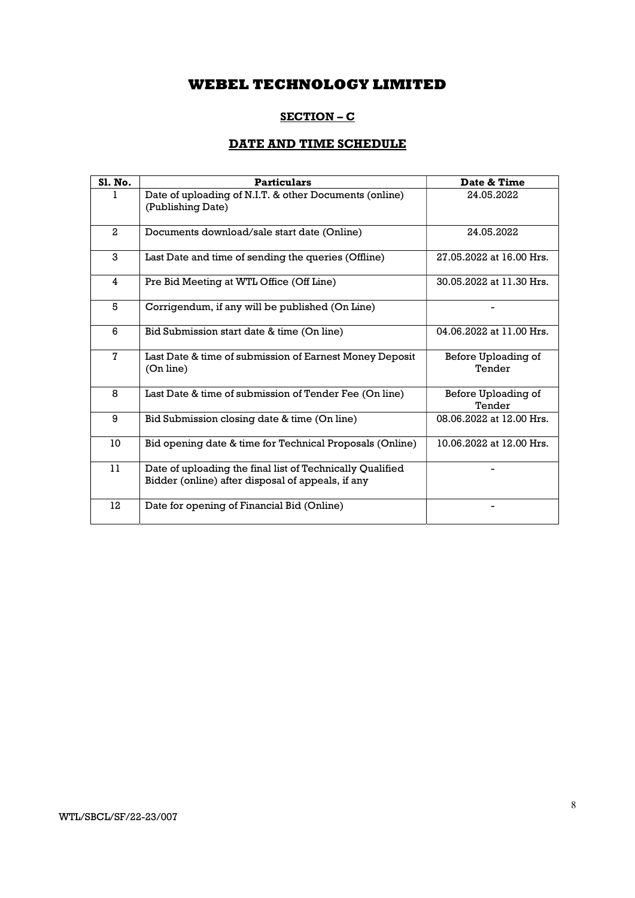## SECTION – C

# DATE AND TIME SCHEDULE

| Sl. No.      | <b>Particulars</b>                                                                                             | Date & Time                   |
|--------------|----------------------------------------------------------------------------------------------------------------|-------------------------------|
| 1.           | Date of uploading of N.I.T. & other Documents (online)<br>(Publishing Date)                                    | 24.05.2022                    |
| $\mathbf{2}$ | Documents download/sale start date (Online)                                                                    | 24.05.2022                    |
| 3            | Last Date and time of sending the queries (Offline)                                                            | 27.05.2022 at 16.00 Hrs.      |
| 4            | Pre Bid Meeting at WTL Office (Off Line)                                                                       | 30.05.2022 at 11.30 Hrs.      |
| 5            | Corrigendum, if any will be published (On Line)                                                                |                               |
| 6            | Bid Submission start date & time (On line)                                                                     | 04.06.2022 at 11.00 Hrs.      |
| $\mathbf 7$  | Last Date & time of submission of Earnest Money Deposit<br>(On line)                                           | Before Uploading of<br>Tender |
| 8            | Last Date & time of submission of Tender Fee (On line)                                                         | Before Uploading of<br>Tender |
| 9            | Bid Submission closing date & time (On line)                                                                   | 08.06.2022 at 12.00 Hrs.      |
| 10           | Bid opening date & time for Technical Proposals (Online)                                                       | 10.06.2022 at 12.00 Hrs.      |
| 11           | Date of uploading the final list of Technically Qualified<br>Bidder (online) after disposal of appeals, if any |                               |
| 12           | Date for opening of Financial Bid (Online)                                                                     |                               |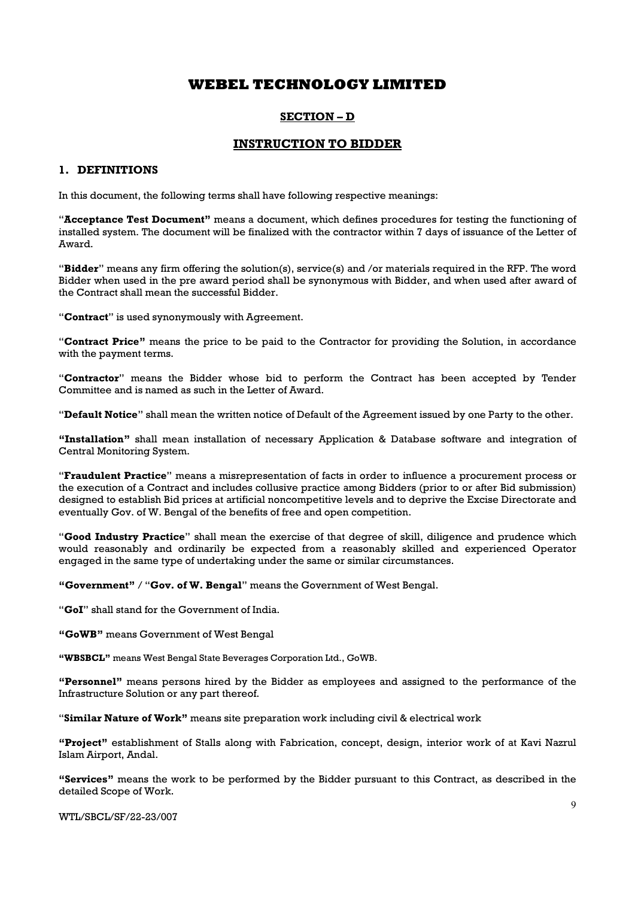### SECTION – D

### INSTRUCTION TO BIDDER

### 1. DEFINITIONS

In this document, the following terms shall have following respective meanings:

"Acceptance Test Document" means a document, which defines procedures for testing the functioning of installed system. The document will be finalized with the contractor within 7 days of issuance of the Letter of Award.

"Bidder" means any firm offering the solution(s), service(s) and /or materials required in the RFP. The word Bidder when used in the pre award period shall be synonymous with Bidder, and when used after award of the Contract shall mean the successful Bidder.

"Contract" is used synonymously with Agreement.

"Contract Price" means the price to be paid to the Contractor for providing the Solution, in accordance with the payment terms.

"Contractor" means the Bidder whose bid to perform the Contract has been accepted by Tender Committee and is named as such in the Letter of Award.

"Default Notice" shall mean the written notice of Default of the Agreement issued by one Party to the other.

"Installation" shall mean installation of necessary Application & Database software and integration of Central Monitoring System.

"Fraudulent Practice" means a misrepresentation of facts in order to influence a procurement process or the execution of a Contract and includes collusive practice among Bidders (prior to or after Bid submission) designed to establish Bid prices at artificial noncompetitive levels and to deprive the Excise Directorate and eventually Gov. of W. Bengal of the benefits of free and open competition.

"Good Industry Practice" shall mean the exercise of that degree of skill, diligence and prudence which would reasonably and ordinarily be expected from a reasonably skilled and experienced Operator engaged in the same type of undertaking under the same or similar circumstances.

"Government" / "Gov. of W. Bengal" means the Government of West Bengal.

"GoI" shall stand for the Government of India.

"GoWB" means Government of West Bengal

"WBSBCL" means West Bengal State Beverages Corporation Ltd., GoWB.

"Personnel" means persons hired by the Bidder as employees and assigned to the performance of the Infrastructure Solution or any part thereof.

"Similar Nature of Work" means site preparation work including civil & electrical work

"Project" establishment of Stalls along with Fabrication, concept, design, interior work of at Kavi Nazrul Islam Airport, Andal.

"Services" means the work to be performed by the Bidder pursuant to this Contract, as described in the detailed Scope of Work.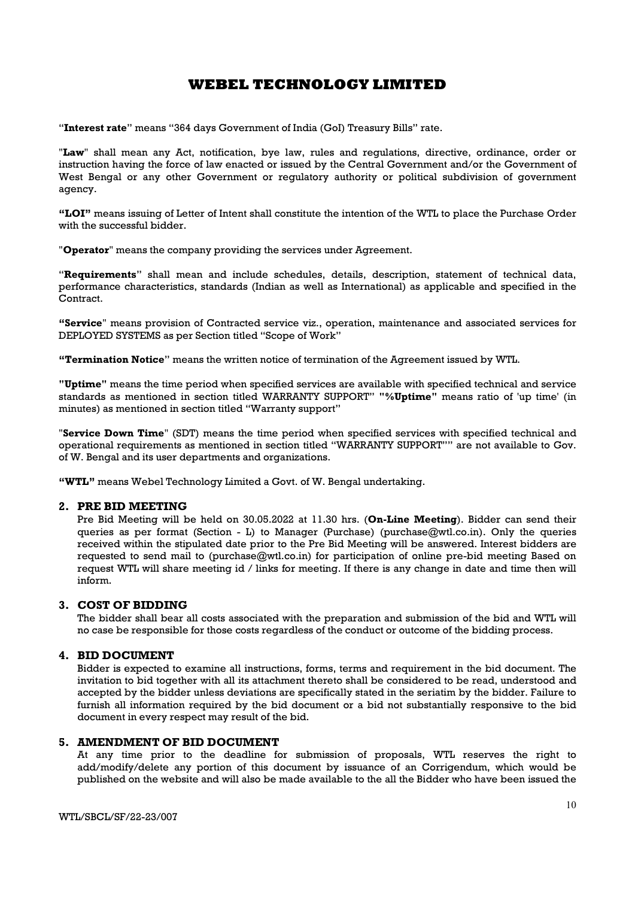"Interest rate" means "364 days Government of India (GoI) Treasury Bills" rate.

"Law" shall mean any Act, notification, bye law, rules and regulations, directive, ordinance, order or instruction having the force of law enacted or issued by the Central Government and/or the Government of West Bengal or any other Government or regulatory authority or political subdivision of government agency.

"LOI" means issuing of Letter of Intent shall constitute the intention of the WTL to place the Purchase Order with the successful bidder.

"**Operator**" means the company providing the services under Agreement.

"Requirements" shall mean and include schedules, details, description, statement of technical data, performance characteristics, standards (Indian as well as International) as applicable and specified in the Contract.

"Service" means provision of Contracted service viz., operation, maintenance and associated services for DEPLOYED SYSTEMS as per Section titled "Scope of Work"

"Termination Notice" means the written notice of termination of the Agreement issued by WTL.

"Uptime" means the time period when specified services are available with specified technical and service standards as mentioned in section titled WARRANTY SUPPORT" "%Uptime" means ratio of 'up time' (in minutes) as mentioned in section titled "Warranty support"

"Service Down Time" (SDT) means the time period when specified services with specified technical and operational requirements as mentioned in section titled "WARRANTY SUPPORT"" are not available to Gov. of W. Bengal and its user departments and organizations.

"WTL" means Webel Technology Limited a Govt. of W. Bengal undertaking.

#### 2. PRE BID MEETING

Pre Bid Meeting will be held on 30.05.2022 at 11.30 hrs. (On-Line Meeting). Bidder can send their queries as per format (Section - L) to Manager (Purchase) (purchase $@wtl.co.in$ ). Only the queries received within the stipulated date prior to the Pre Bid Meeting will be answered. Interest bidders are requested to send mail to (purchase@wtl.co.in) for participation of online pre-bid meeting Based on request WTL will share meeting id / links for meeting. If there is any change in date and time then will inform.

### 3. COST OF BIDDING

The bidder shall bear all costs associated with the preparation and submission of the bid and WTL will no case be responsible for those costs regardless of the conduct or outcome of the bidding process.

### 4. BID DOCUMENT

Bidder is expected to examine all instructions, forms, terms and requirement in the bid document. The invitation to bid together with all its attachment thereto shall be considered to be read, understood and accepted by the bidder unless deviations are specifically stated in the seriatim by the bidder. Failure to furnish all information required by the bid document or a bid not substantially responsive to the bid document in every respect may result of the bid.

#### 5. AMENDMENT OF BID DOCUMENT

At any time prior to the deadline for submission of proposals, WTL reserves the right to add/modify/delete any portion of this document by issuance of an Corrigendum, which would be published on the website and will also be made available to the all the Bidder who have been issued the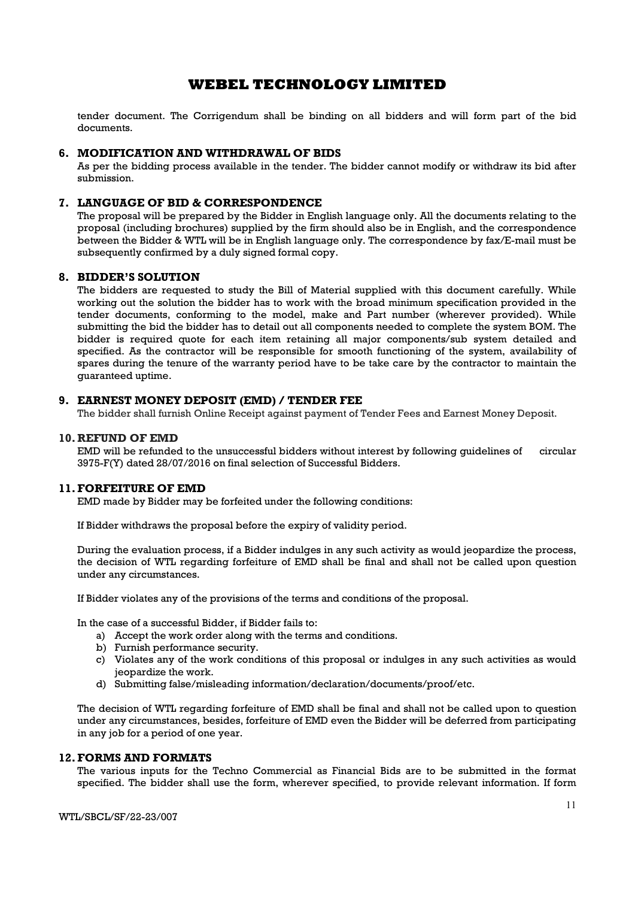tender document. The Corrigendum shall be binding on all bidders and will form part of the bid documents.

### 6. MODIFICATION AND WITHDRAWAL OF BIDS

As per the bidding process available in the tender. The bidder cannot modify or withdraw its bid after submission.

### 7. LANGUAGE OF BID & CORRESPONDENCE

The proposal will be prepared by the Bidder in English language only. All the documents relating to the proposal (including brochures) supplied by the firm should also be in English, and the correspondence between the Bidder & WTL will be in English language only. The correspondence by fax/E-mail must be subsequently confirmed by a duly signed formal copy.

#### 8. BIDDER'S SOLUTION

The bidders are requested to study the Bill of Material supplied with this document carefully. While working out the solution the bidder has to work with the broad minimum specification provided in the tender documents, conforming to the model, make and Part number (wherever provided). While submitting the bid the bidder has to detail out all components needed to complete the system BOM. The bidder is required quote for each item retaining all major components/sub system detailed and specified. As the contractor will be responsible for smooth functioning of the system, availability of spares during the tenure of the warranty period have to be take care by the contractor to maintain the guaranteed uptime.

### 9. EARNEST MONEY DEPOSIT (EMD) / TENDER FEE

The bidder shall furnish Online Receipt against payment of Tender Fees and Earnest Money Deposit.

### 10. REFUND OF EMD

EMD will be refunded to the unsuccessful bidders without interest by following guidelines of circular 3975-F(Y) dated 28/07/2016 on final selection of Successful Bidders.

### 11.FORFEITURE OF EMD

EMD made by Bidder may be forfeited under the following conditions:

If Bidder withdraws the proposal before the expiry of validity period.

During the evaluation process, if a Bidder indulges in any such activity as would jeopardize the process, the decision of WTL regarding forfeiture of EMD shall be final and shall not be called upon question under any circumstances.

If Bidder violates any of the provisions of the terms and conditions of the proposal.

In the case of a successful Bidder, if Bidder fails to:

- a) Accept the work order along with the terms and conditions.
- b) Furnish performance security.
- c) Violates any of the work conditions of this proposal or indulges in any such activities as would jeopardize the work.
- d) Submitting false/misleading information/declaration/documents/proof/etc.

The decision of WTL regarding forfeiture of EMD shall be final and shall not be called upon to question under any circumstances, besides, forfeiture of EMD even the Bidder will be deferred from participating in any job for a period of one year.

### 12.FORMS AND FORMATS

The various inputs for the Techno Commercial as Financial Bids are to be submitted in the format specified. The bidder shall use the form, wherever specified, to provide relevant information. If form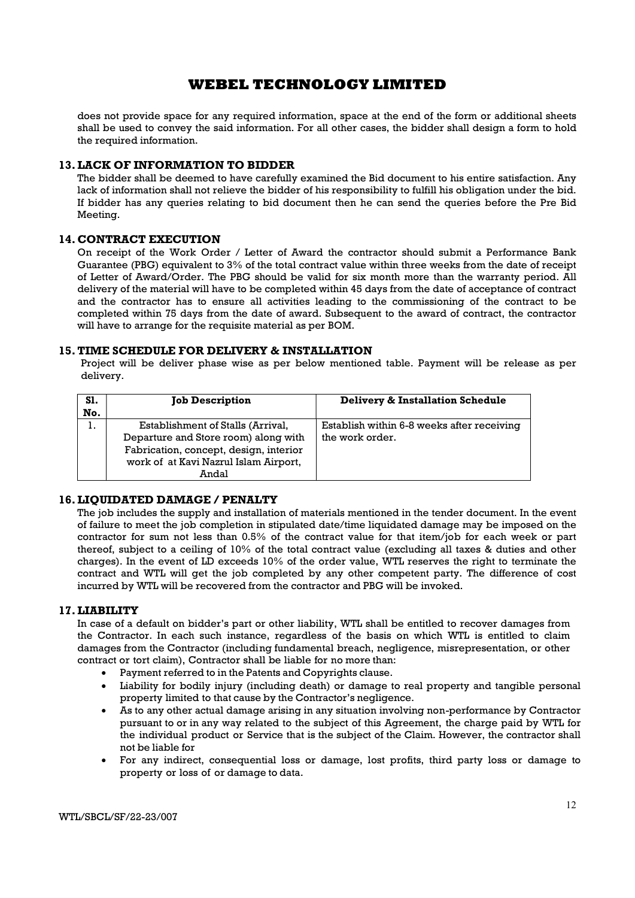does not provide space for any required information, space at the end of the form or additional sheets shall be used to convey the said information. For all other cases, the bidder shall design a form to hold the required information.

### 13.LACK OF INFORMATION TO BIDDER

The bidder shall be deemed to have carefully examined the Bid document to his entire satisfaction. Any lack of information shall not relieve the bidder of his responsibility to fulfill his obligation under the bid. If bidder has any queries relating to bid document then he can send the queries before the Pre Bid Meeting.

### 14. CONTRACT EXECUTION

On receipt of the Work Order / Letter of Award the contractor should submit a Performance Bank Guarantee (PBG) equivalent to 3% of the total contract value within three weeks from the date of receipt of Letter of Award/Order. The PBG should be valid for six month more than the warranty period. All delivery of the material will have to be completed within 45 days from the date of acceptance of contract and the contractor has to ensure all activities leading to the commissioning of the contract to be completed within 75 days from the date of award. Subsequent to the award of contract, the contractor will have to arrange for the requisite material as per BOM.

#### 15.TIME SCHEDULE FOR DELIVERY & INSTALLATION

Project will be deliver phase wise as per below mentioned table. Payment will be release as per delivery.

| <b>S1.</b><br>No. | <b>Job Description</b>                                                                                                                                                | Delivery & Installation Schedule                              |
|-------------------|-----------------------------------------------------------------------------------------------------------------------------------------------------------------------|---------------------------------------------------------------|
| ı.                | Establishment of Stalls (Arrival,<br>Departure and Store room) along with<br>Fabrication, concept, design, interior<br>work of at Kavi Nazrul Islam Airport,<br>Andal | Establish within 6-8 weeks after receiving<br>the work order. |

### 16.LIQUIDATED DAMAGE / PENALTY

The job includes the supply and installation of materials mentioned in the tender document. In the event of failure to meet the job completion in stipulated date/time liquidated damage may be imposed on the contractor for sum not less than 0.5% of the contract value for that item/job for each week or part thereof, subject to a ceiling of 10% of the total contract value (excluding all taxes & duties and other charges). In the event of LD exceeds 10% of the order value, WTL reserves the right to terminate the contract and WTL will get the job completed by any other competent party. The difference of cost incurred by WTL will be recovered from the contractor and PBG will be invoked.

#### 17.LIABILITY

In case of a default on bidder's part or other liability, WTL shall be entitled to recover damages from the Contractor. In each such instance, regardless of the basis on which WTL is entitled to claim damages from the Contractor (including fundamental breach, negligence, misrepresentation, or other contract or tort claim), Contractor shall be liable for no more than:

- Payment referred to in the Patents and Copyrights clause.
- Liability for bodily injury (including death) or damage to real property and tangible personal property limited to that cause by the Contractor's negligence.
- As to any other actual damage arising in any situation involving non-performance by Contractor pursuant to or in any way related to the subject of this Agreement, the charge paid by WTL for the individual product or Service that is the subject of the Claim. However, the contractor shall not be liable for
- For any indirect, consequential loss or damage, lost profits, third party loss or damage to property or loss of or damage to data.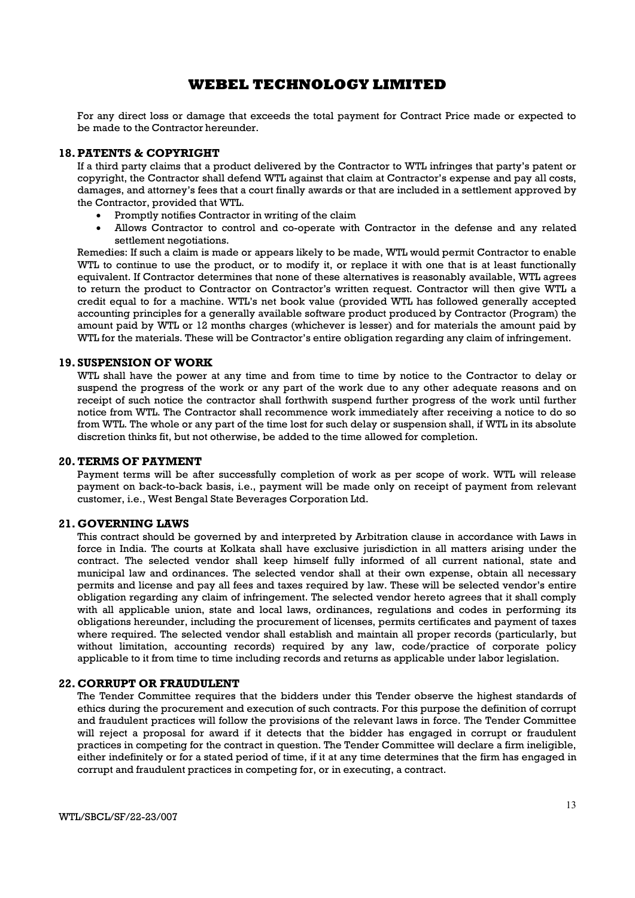For any direct loss or damage that exceeds the total payment for Contract Price made or expected to be made to the Contractor hereunder.

#### 18.PATENTS & COPYRIGHT

If a third party claims that a product delivered by the Contractor to WTL infringes that party's patent or copyright, the Contractor shall defend WTL against that claim at Contractor's expense and pay all costs, damages, and attorney's fees that a court finally awards or that are included in a settlement approved by the Contractor, provided that WTL.

- Promptly notifies Contractor in writing of the claim
- Allows Contractor to control and co-operate with Contractor in the defense and any related settlement negotiations.

Remedies: If such a claim is made or appears likely to be made, WTL would permit Contractor to enable WTL to continue to use the product, or to modify it, or replace it with one that is at least functionally equivalent. If Contractor determines that none of these alternatives is reasonably available, WTL agrees to return the product to Contractor on Contractor's written request. Contractor will then give WTL a credit equal to for a machine. WTL's net book value (provided WTL has followed generally accepted accounting principles for a generally available software product produced by Contractor (Program) the amount paid by WTL or 12 months charges (whichever is lesser) and for materials the amount paid by WTL for the materials. These will be Contractor's entire obligation regarding any claim of infringement.

#### 19. SUSPENSION OF WORK

WTL shall have the power at any time and from time to time by notice to the Contractor to delay or suspend the progress of the work or any part of the work due to any other adequate reasons and on receipt of such notice the contractor shall forthwith suspend further progress of the work until further notice from WTL. The Contractor shall recommence work immediately after receiving a notice to do so from WTL. The whole or any part of the time lost for such delay or suspension shall, if WTL in its absolute discretion thinks fit, but not otherwise, be added to the time allowed for completion.

### 20.TERMS OF PAYMENT

Payment terms will be after successfully completion of work as per scope of work. WTL will release payment on back-to-back basis, i.e., payment will be made only on receipt of payment from relevant customer, i.e., West Bengal State Beverages Corporation Ltd.

#### 21. GOVERNING LAWS

This contract should be governed by and interpreted by Arbitration clause in accordance with Laws in force in India. The courts at Kolkata shall have exclusive jurisdiction in all matters arising under the contract. The selected vendor shall keep himself fully informed of all current national, state and municipal law and ordinances. The selected vendor shall at their own expense, obtain all necessary permits and license and pay all fees and taxes required by law. These will be selected vendor's entire obligation regarding any claim of infringement. The selected vendor hereto agrees that it shall comply with all applicable union, state and local laws, ordinances, regulations and codes in performing its obligations hereunder, including the procurement of licenses, permits certificates and payment of taxes where required. The selected vendor shall establish and maintain all proper records (particularly, but without limitation, accounting records) required by any law, code/practice of corporate policy applicable to it from time to time including records and returns as applicable under labor legislation.

#### 22. CORRUPT OR FRAUDULENT

The Tender Committee requires that the bidders under this Tender observe the highest standards of ethics during the procurement and execution of such contracts. For this purpose the definition of corrupt and fraudulent practices will follow the provisions of the relevant laws in force. The Tender Committee will reject a proposal for award if it detects that the bidder has engaged in corrupt or fraudulent practices in competing for the contract in question. The Tender Committee will declare a firm ineligible, either indefinitely or for a stated period of time, if it at any time determines that the firm has engaged in corrupt and fraudulent practices in competing for, or in executing, a contract.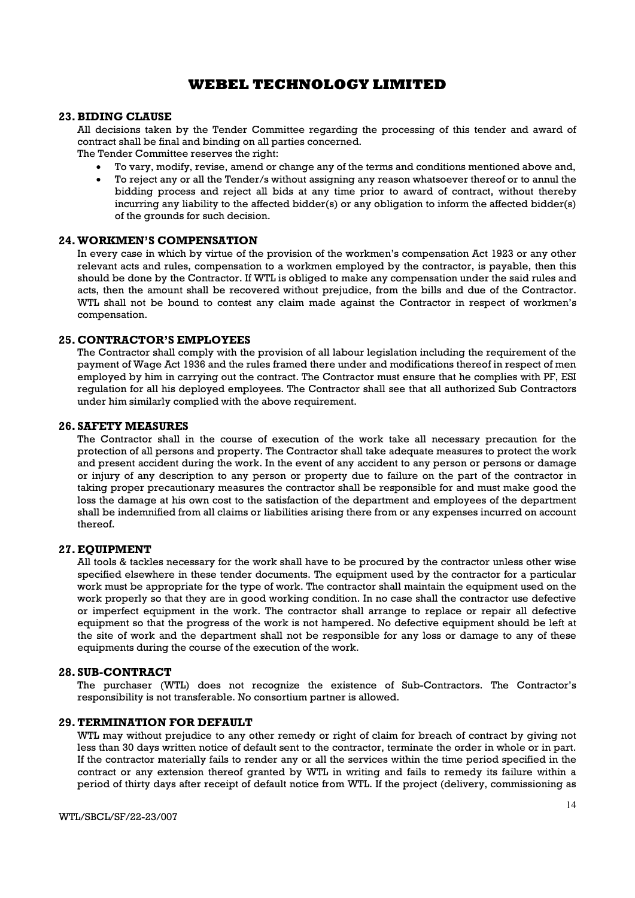#### 23.BIDING CLAUSE

All decisions taken by the Tender Committee regarding the processing of this tender and award of contract shall be final and binding on all parties concerned.

The Tender Committee reserves the right:

- To vary, modify, revise, amend or change any of the terms and conditions mentioned above and,
- To reject any or all the Tender/s without assigning any reason whatsoever thereof or to annul the bidding process and reject all bids at any time prior to award of contract, without thereby incurring any liability to the affected bidder(s) or any obligation to inform the affected bidder(s) of the grounds for such decision.

#### 24.WORKMEN'S COMPENSATION

In every case in which by virtue of the provision of the workmen's compensation Act 1923 or any other relevant acts and rules, compensation to a workmen employed by the contractor, is payable, then this should be done by the Contractor. If WTL is obliged to make any compensation under the said rules and acts, then the amount shall be recovered without prejudice, from the bills and due of the Contractor. WTL shall not be bound to contest any claim made against the Contractor in respect of workmen's compensation.

#### 25. CONTRACTOR'S EMPLOYEES

The Contractor shall comply with the provision of all labour legislation including the requirement of the payment of Wage Act 1936 and the rules framed there under and modifications thereof in respect of men employed by him in carrying out the contract. The Contractor must ensure that he complies with PF, ESI regulation for all his deployed employees. The Contractor shall see that all authorized Sub Contractors under him similarly complied with the above requirement.

#### 26. SAFETY MEASURES

The Contractor shall in the course of execution of the work take all necessary precaution for the protection of all persons and property. The Contractor shall take adequate measures to protect the work and present accident during the work. In the event of any accident to any person or persons or damage or injury of any description to any person or property due to failure on the part of the contractor in taking proper precautionary measures the contractor shall be responsible for and must make good the loss the damage at his own cost to the satisfaction of the department and employees of the department shall be indemnified from all claims or liabilities arising there from or any expenses incurred on account thereof.

#### 27.EQUIPMENT

All tools & tackles necessary for the work shall have to be procured by the contractor unless other wise specified elsewhere in these tender documents. The equipment used by the contractor for a particular work must be appropriate for the type of work. The contractor shall maintain the equipment used on the work properly so that they are in good working condition. In no case shall the contractor use defective or imperfect equipment in the work. The contractor shall arrange to replace or repair all defective equipment so that the progress of the work is not hampered. No defective equipment should be left at the site of work and the department shall not be responsible for any loss or damage to any of these equipments during the course of the execution of the work.

#### 28. SUB-CONTRACT

The purchaser (WTL) does not recognize the existence of Sub-Contractors. The Contractor's responsibility is not transferable. No consortium partner is allowed.

#### 29.TERMINATION FOR DEFAULT

WTL may without prejudice to any other remedy or right of claim for breach of contract by giving not less than 30 days written notice of default sent to the contractor, terminate the order in whole or in part. If the contractor materially fails to render any or all the services within the time period specified in the contract or any extension thereof granted by WTL in writing and fails to remedy its failure within a period of thirty days after receipt of default notice from WTL. If the project (delivery, commissioning as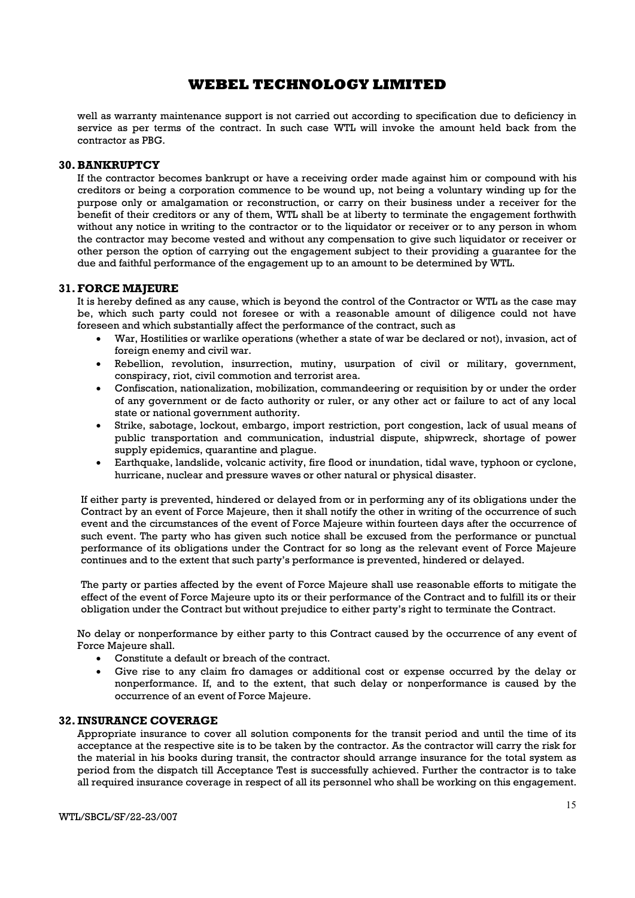well as warranty maintenance support is not carried out according to specification due to deficiency in service as per terms of the contract. In such case WTL will invoke the amount held back from the contractor as PBG.

#### 30.BANKRUPTCY

If the contractor becomes bankrupt or have a receiving order made against him or compound with his creditors or being a corporation commence to be wound up, not being a voluntary winding up for the purpose only or amalgamation or reconstruction, or carry on their business under a receiver for the benefit of their creditors or any of them, WTL shall be at liberty to terminate the engagement forthwith without any notice in writing to the contractor or to the liquidator or receiver or to any person in whom the contractor may become vested and without any compensation to give such liquidator or receiver or other person the option of carrying out the engagement subject to their providing a guarantee for the due and faithful performance of the engagement up to an amount to be determined by WTL.

### 31.FORCE MAJEURE

It is hereby defined as any cause, which is beyond the control of the Contractor or WTL as the case may be, which such party could not foresee or with a reasonable amount of diligence could not have foreseen and which substantially affect the performance of the contract, such as

- War, Hostilities or warlike operations (whether a state of war be declared or not), invasion, act of foreign enemy and civil war.
- Rebellion, revolution, insurrection, mutiny, usurpation of civil or military, government, conspiracy, riot, civil commotion and terrorist area.
- Confiscation, nationalization, mobilization, commandeering or requisition by or under the order of any government or de facto authority or ruler, or any other act or failure to act of any local state or national government authority.
- Strike, sabotage, lockout, embargo, import restriction, port congestion, lack of usual means of public transportation and communication, industrial dispute, shipwreck, shortage of power supply epidemics, quarantine and plague.
- Earthquake, landslide, volcanic activity, fire flood or inundation, tidal wave, typhoon or cyclone, hurricane, nuclear and pressure waves or other natural or physical disaster.

If either party is prevented, hindered or delayed from or in performing any of its obligations under the Contract by an event of Force Majeure, then it shall notify the other in writing of the occurrence of such event and the circumstances of the event of Force Majeure within fourteen days after the occurrence of such event. The party who has given such notice shall be excused from the performance or punctual performance of its obligations under the Contract for so long as the relevant event of Force Majeure continues and to the extent that such party's performance is prevented, hindered or delayed.

The party or parties affected by the event of Force Majeure shall use reasonable efforts to mitigate the effect of the event of Force Majeure upto its or their performance of the Contract and to fulfill its or their obligation under the Contract but without prejudice to either party's right to terminate the Contract.

No delay or nonperformance by either party to this Contract caused by the occurrence of any event of Force Majeure shall.

- Constitute a default or breach of the contract.
- Give rise to any claim fro damages or additional cost or expense occurred by the delay or nonperformance. If, and to the extent, that such delay or nonperformance is caused by the occurrence of an event of Force Majeure.

#### 32. INSURANCE COVERAGE

Appropriate insurance to cover all solution components for the transit period and until the time of its acceptance at the respective site is to be taken by the contractor. As the contractor will carry the risk for the material in his books during transit, the contractor should arrange insurance for the total system as period from the dispatch till Acceptance Test is successfully achieved. Further the contractor is to take all required insurance coverage in respect of all its personnel who shall be working on this engagement.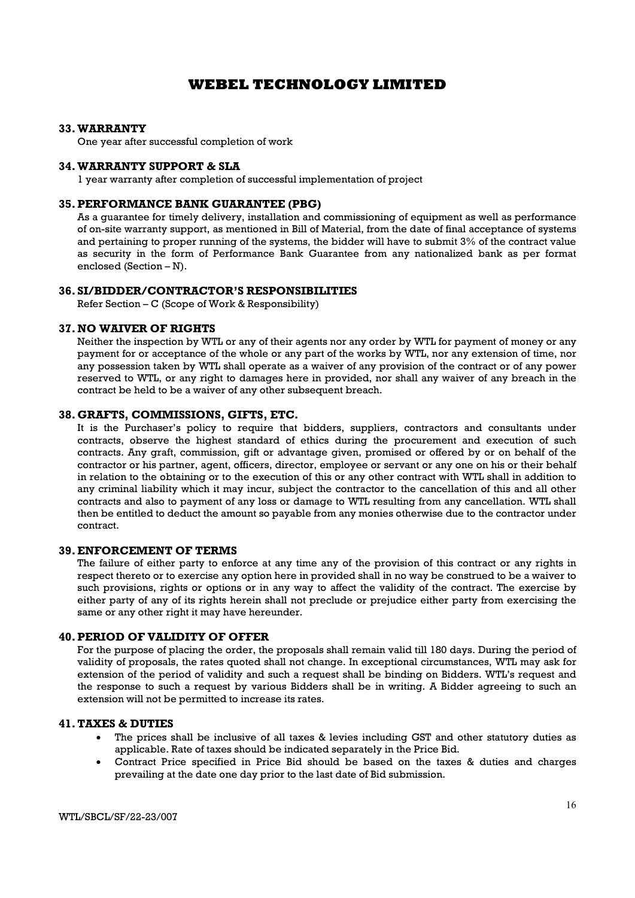#### 33.WARRANTY

One year after successful completion of work

#### 34.WARRANTY SUPPORT & SLA

1 year warranty after completion of successful implementation of project

### 35.PERFORMANCE BANK GUARANTEE (PBG)

As a guarantee for timely delivery, installation and commissioning of equipment as well as performance of on-site warranty support, as mentioned in Bill of Material, from the date of final acceptance of systems and pertaining to proper running of the systems, the bidder will have to submit 3% of the contract value as security in the form of Performance Bank Guarantee from any nationalized bank as per format enclosed (Section – N).

### 36. SI/BIDDER/CONTRACTOR'S RESPONSIBILITIES

Refer Section – C (Scope of Work & Responsibility)

#### 37.NO WAIVER OF RIGHTS

Neither the inspection by WTL or any of their agents nor any order by WTL for payment of money or any payment for or acceptance of the whole or any part of the works by WTL, nor any extension of time, nor any possession taken by WTL shall operate as a waiver of any provision of the contract or of any power reserved to WTL, or any right to damages here in provided, nor shall any waiver of any breach in the contract be held to be a waiver of any other subsequent breach.

#### 38. GRAFTS, COMMISSIONS, GIFTS, ETC.

It is the Purchaser's policy to require that bidders, suppliers, contractors and consultants under contracts, observe the highest standard of ethics during the procurement and execution of such contracts. Any graft, commission, gift or advantage given, promised or offered by or on behalf of the contractor or his partner, agent, officers, director, employee or servant or any one on his or their behalf in relation to the obtaining or to the execution of this or any other contract with WTL shall in addition to any criminal liability which it may incur, subject the contractor to the cancellation of this and all other contracts and also to payment of any loss or damage to WTL resulting from any cancellation. WTL shall then be entitled to deduct the amount so payable from any monies otherwise due to the contractor under contract.

#### 39.ENFORCEMENT OF TERMS

The failure of either party to enforce at any time any of the provision of this contract or any rights in respect thereto or to exercise any option here in provided shall in no way be construed to be a waiver to such provisions, rights or options or in any way to affect the validity of the contract. The exercise by either party of any of its rights herein shall not preclude or prejudice either party from exercising the same or any other right it may have hereunder.

#### 40.PERIOD OF VALIDITY OF OFFER

For the purpose of placing the order, the proposals shall remain valid till 180 days. During the period of validity of proposals, the rates quoted shall not change. In exceptional circumstances, WTL may ask for extension of the period of validity and such a request shall be binding on Bidders. WTL's request and the response to such a request by various Bidders shall be in writing. A Bidder agreeing to such an extension will not be permitted to increase its rates.

#### 41.TAXES & DUTIES

- The prices shall be inclusive of all taxes & levies including GST and other statutory duties as applicable. Rate of taxes should be indicated separately in the Price Bid.
- Contract Price specified in Price Bid should be based on the taxes & duties and charges prevailing at the date one day prior to the last date of Bid submission.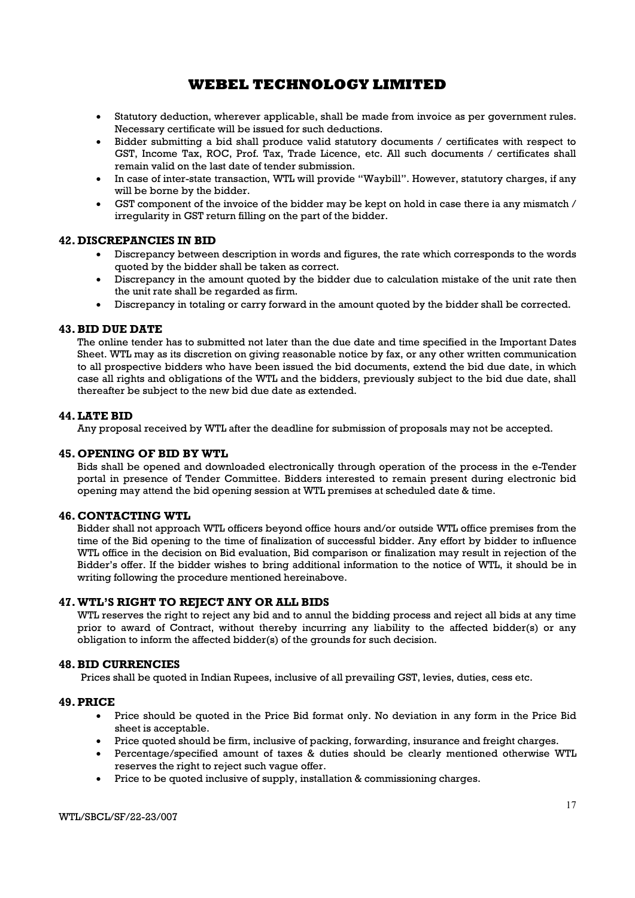- Statutory deduction, wherever applicable, shall be made from invoice as per government rules. Necessary certificate will be issued for such deductions.
- Bidder submitting a bid shall produce valid statutory documents / certificates with respect to GST, Income Tax, ROC, Prof. Tax, Trade Licence, etc. All such documents / certificates shall remain valid on the last date of tender submission.
- In case of inter-state transaction, WTL will provide "Waybill". However, statutory charges, if any will be borne by the bidder.
- GST component of the invoice of the bidder may be kept on hold in case there ia any mismatch / irregularity in GST return filling on the part of the bidder.

### 42. DISCREPANCIES IN BID

- Discrepancy between description in words and figures, the rate which corresponds to the words quoted by the bidder shall be taken as correct.
- Discrepancy in the amount quoted by the bidder due to calculation mistake of the unit rate then the unit rate shall be regarded as firm.
- Discrepancy in totaling or carry forward in the amount quoted by the bidder shall be corrected.

#### 43.BID DUE DATE

The online tender has to submitted not later than the due date and time specified in the Important Dates Sheet. WTL may as its discretion on giving reasonable notice by fax, or any other written communication to all prospective bidders who have been issued the bid documents, extend the bid due date, in which case all rights and obligations of the WTL and the bidders, previously subject to the bid due date, shall thereafter be subject to the new bid due date as extended.

### 44.LATE BID

Any proposal received by WTL after the deadline for submission of proposals may not be accepted.

### 45. OPENING OF BID BY WTL

Bids shall be opened and downloaded electronically through operation of the process in the e-Tender portal in presence of Tender Committee. Bidders interested to remain present during electronic bid opening may attend the bid opening session at WTL premises at scheduled date & time.

#### 46. CONTACTING WTL

Bidder shall not approach WTL officers beyond office hours and/or outside WTL office premises from the time of the Bid opening to the time of finalization of successful bidder. Any effort by bidder to influence WTL office in the decision on Bid evaluation, Bid comparison or finalization may result in rejection of the Bidder's offer. If the bidder wishes to bring additional information to the notice of WTL, it should be in writing following the procedure mentioned hereinabove.

### 47.WTL'S RIGHT TO REJECT ANY OR ALL BIDS

WTL reserves the right to reject any bid and to annul the bidding process and reject all bids at any time prior to award of Contract, without thereby incurring any liability to the affected bidder(s) or any obligation to inform the affected bidder(s) of the grounds for such decision.

### 48.BID CURRENCIES

Prices shall be quoted in Indian Rupees, inclusive of all prevailing GST, levies, duties, cess etc.

#### 49.PRICE

- Price should be quoted in the Price Bid format only. No deviation in any form in the Price Bid sheet is acceptable.
- Price quoted should be firm, inclusive of packing, forwarding, insurance and freight charges.
- Percentage/specified amount of taxes & duties should be clearly mentioned otherwise WTL reserves the right to reject such vague offer.
- Price to be quoted inclusive of supply, installation & commissioning charges.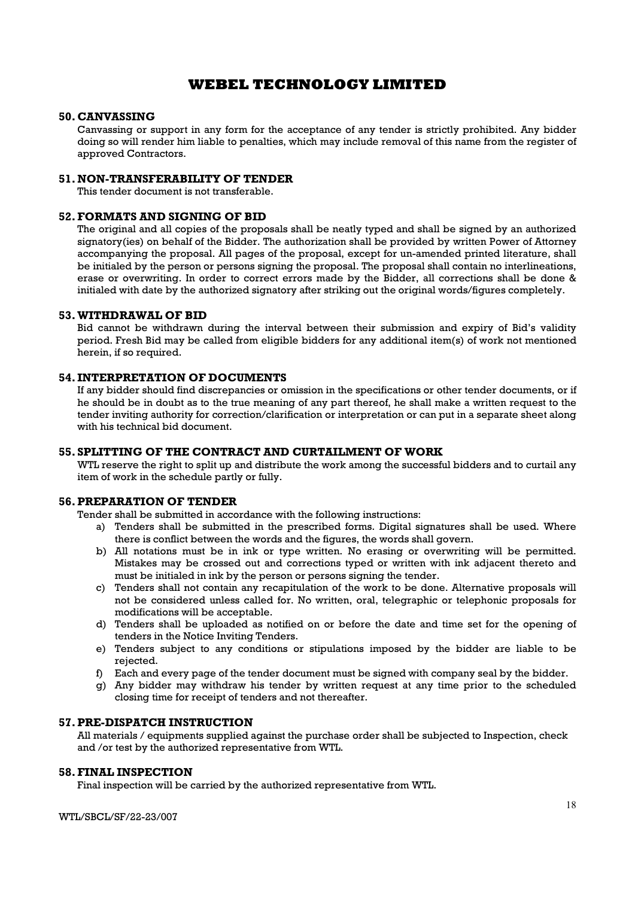#### 50. CANVASSING

Canvassing or support in any form for the acceptance of any tender is strictly prohibited. Any bidder doing so will render him liable to penalties, which may include removal of this name from the register of approved Contractors.

#### 51.NON-TRANSFERABILITY OF TENDER

This tender document is not transferable.

### 52.FORMATS AND SIGNING OF BID

The original and all copies of the proposals shall be neatly typed and shall be signed by an authorized signatory(ies) on behalf of the Bidder. The authorization shall be provided by written Power of Attorney accompanying the proposal. All pages of the proposal, except for un-amended printed literature, shall be initialed by the person or persons signing the proposal. The proposal shall contain no interlineations, erase or overwriting. In order to correct errors made by the Bidder, all corrections shall be done & initialed with date by the authorized signatory after striking out the original words/figures completely.

#### 53.WITHDRAWAL OF BID

Bid cannot be withdrawn during the interval between their submission and expiry of Bid's validity period. Fresh Bid may be called from eligible bidders for any additional item(s) of work not mentioned herein, if so required.

#### 54. INTERPRETATION OF DOCUMENTS

If any bidder should find discrepancies or omission in the specifications or other tender documents, or if he should be in doubt as to the true meaning of any part thereof, he shall make a written request to the tender inviting authority for correction/clarification or interpretation or can put in a separate sheet along with his technical bid document.

### 55. SPLITTING OF THE CONTRACT AND CURTAILMENT OF WORK

WTL reserve the right to split up and distribute the work among the successful bidders and to curtail any item of work in the schedule partly or fully.

### 56.PREPARATION OF TENDER

Tender shall be submitted in accordance with the following instructions:

- a) Tenders shall be submitted in the prescribed forms. Digital signatures shall be used. Where there is conflict between the words and the figures, the words shall govern.
- b) All notations must be in ink or type written. No erasing or overwriting will be permitted. Mistakes may be crossed out and corrections typed or written with ink adjacent thereto and must be initialed in ink by the person or persons signing the tender.
- c) Tenders shall not contain any recapitulation of the work to be done. Alternative proposals will not be considered unless called for. No written, oral, telegraphic or telephonic proposals for modifications will be acceptable.
- d) Tenders shall be uploaded as notified on or before the date and time set for the opening of tenders in the Notice Inviting Tenders.
- e) Tenders subject to any conditions or stipulations imposed by the bidder are liable to be rejected.
- f) Each and every page of the tender document must be signed with company seal by the bidder.
- g) Any bidder may withdraw his tender by written request at any time prior to the scheduled closing time for receipt of tenders and not thereafter.

#### 57.PRE-DISPATCH INSTRUCTION

All materials / equipments supplied against the purchase order shall be subjected to Inspection, check and /or test by the authorized representative from WTL.

#### 58.FINAL INSPECTION

Final inspection will be carried by the authorized representative from WTL.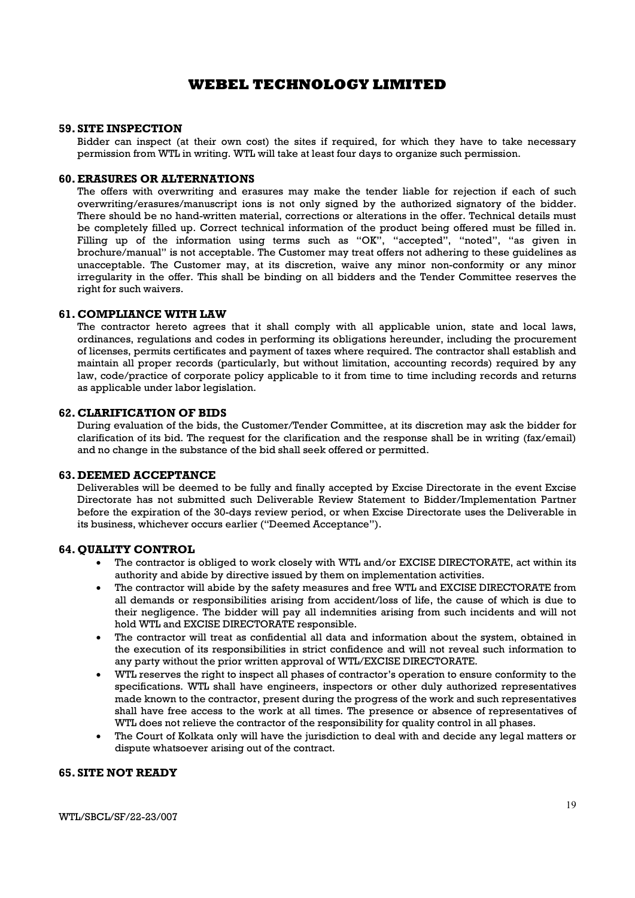#### 59. SITE INSPECTION

Bidder can inspect (at their own cost) the sites if required, for which they have to take necessary permission from WTL in writing. WTL will take at least four days to organize such permission.

#### 60.ERASURES OR ALTERNATIONS

The offers with overwriting and erasures may make the tender liable for rejection if each of such overwriting/erasures/manuscript ions is not only signed by the authorized signatory of the bidder. There should be no hand-written material, corrections or alterations in the offer. Technical details must be completely filled up. Correct technical information of the product being offered must be filled in. Filling up of the information using terms such as "OK", "accepted", "noted", "as given in brochure/manual" is not acceptable. The Customer may treat offers not adhering to these guidelines as unacceptable. The Customer may, at its discretion, waive any minor non-conformity or any minor irregularity in the offer. This shall be binding on all bidders and the Tender Committee reserves the right for such waivers.

#### 61. COMPLIANCE WITH LAW

The contractor hereto agrees that it shall comply with all applicable union, state and local laws, ordinances, regulations and codes in performing its obligations hereunder, including the procurement of licenses, permits certificates and payment of taxes where required. The contractor shall establish and maintain all proper records (particularly, but without limitation, accounting records) required by any law, code/practice of corporate policy applicable to it from time to time including records and returns as applicable under labor legislation.

#### 62. CLARIFICATION OF BIDS

During evaluation of the bids, the Customer/Tender Committee, at its discretion may ask the bidder for clarification of its bid. The request for the clarification and the response shall be in writing (fax/email) and no change in the substance of the bid shall seek offered or permitted.

### 63. DEEMED ACCEPTANCE

Deliverables will be deemed to be fully and finally accepted by Excise Directorate in the event Excise Directorate has not submitted such Deliverable Review Statement to Bidder/Implementation Partner before the expiration of the 30-days review period, or when Excise Directorate uses the Deliverable in its business, whichever occurs earlier ("Deemed Acceptance").

#### 64. QUALITY CONTROL

- The contractor is obliged to work closely with WTL and/or EXCISE DIRECTORATE, act within its authority and abide by directive issued by them on implementation activities.
- The contractor will abide by the safety measures and free WTL and EXCISE DIRECTORATE from all demands or responsibilities arising from accident/loss of life, the cause of which is due to their negligence. The bidder will pay all indemnities arising from such incidents and will not hold WTL and EXCISE DIRECTORATE responsible.
- The contractor will treat as confidential all data and information about the system, obtained in the execution of its responsibilities in strict confidence and will not reveal such information to any party without the prior written approval of WTL/EXCISE DIRECTORATE.
- WTL reserves the right to inspect all phases of contractor's operation to ensure conformity to the specifications. WTL shall have engineers, inspectors or other duly authorized representatives made known to the contractor, present during the progress of the work and such representatives shall have free access to the work at all times. The presence or absence of representatives of WTL does not relieve the contractor of the responsibility for quality control in all phases.
- The Court of Kolkata only will have the jurisdiction to deal with and decide any legal matters or dispute whatsoever arising out of the contract.

### 65. SITE NOT READY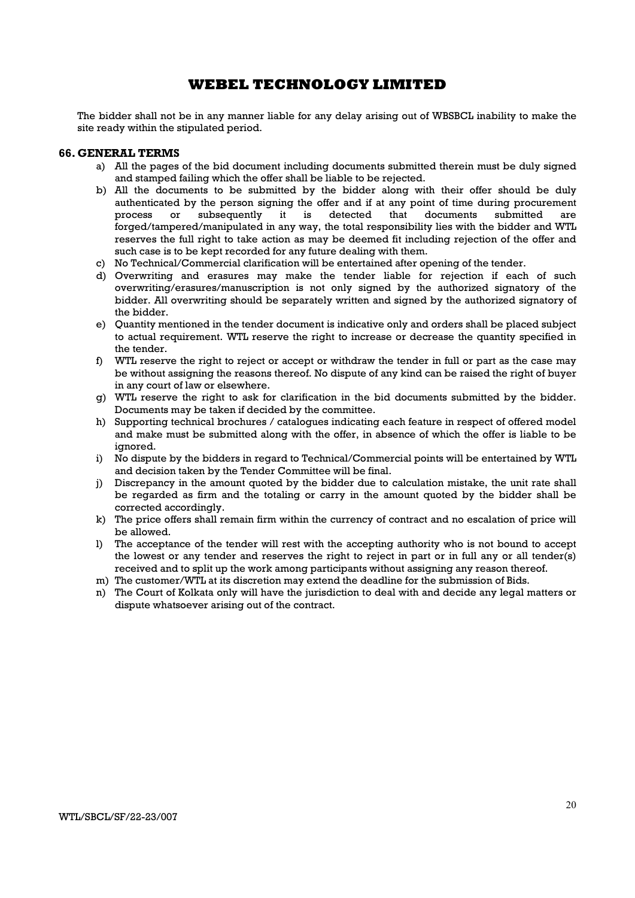The bidder shall not be in any manner liable for any delay arising out of WBSBCL inability to make the site ready within the stipulated period.

#### 66. GENERAL TERMS

- a) All the pages of the bid document including documents submitted therein must be duly signed and stamped failing which the offer shall be liable to be rejected.
- b) All the documents to be submitted by the bidder along with their offer should be duly authenticated by the person signing the offer and if at any point of time during procurement process or subsequently it is detected that documents submitted are forged/tampered/manipulated in any way, the total responsibility lies with the bidder and WTL reserves the full right to take action as may be deemed fit including rejection of the offer and such case is to be kept recorded for any future dealing with them.
- c) No Technical/Commercial clarification will be entertained after opening of the tender.
- d) Overwriting and erasures may make the tender liable for rejection if each of such overwriting/erasures/manuscription is not only signed by the authorized signatory of the bidder. All overwriting should be separately written and signed by the authorized signatory of the bidder.
- e) Quantity mentioned in the tender document is indicative only and orders shall be placed subject to actual requirement. WTL reserve the right to increase or decrease the quantity specified in the tender.
- f) WTL reserve the right to reject or accept or withdraw the tender in full or part as the case may be without assigning the reasons thereof. No dispute of any kind can be raised the right of buyer in any court of law or elsewhere.
- g) WTL reserve the right to ask for clarification in the bid documents submitted by the bidder. Documents may be taken if decided by the committee.
- h) Supporting technical brochures / catalogues indicating each feature in respect of offered model and make must be submitted along with the offer, in absence of which the offer is liable to be ignored.
- i) No dispute by the bidders in regard to Technical/Commercial points will be entertained by WTL and decision taken by the Tender Committee will be final.
- j) Discrepancy in the amount quoted by the bidder due to calculation mistake, the unit rate shall be regarded as firm and the totaling or carry in the amount quoted by the bidder shall be corrected accordingly.
- k) The price offers shall remain firm within the currency of contract and no escalation of price will be allowed.
- l) The acceptance of the tender will rest with the accepting authority who is not bound to accept the lowest or any tender and reserves the right to reject in part or in full any or all tender(s) received and to split up the work among participants without assigning any reason thereof.
- m) The customer/WTL at its discretion may extend the deadline for the submission of Bids.
- n) The Court of Kolkata only will have the jurisdiction to deal with and decide any legal matters or dispute whatsoever arising out of the contract.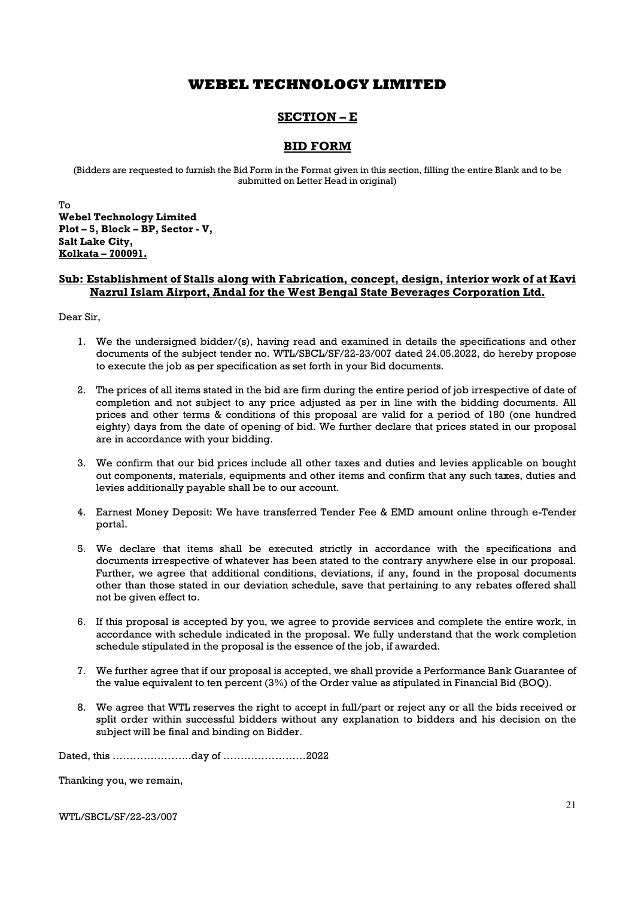# SECTION – E

## BID FORM

(Bidders are requested to furnish the Bid Form in the Format given in this section, filling the entire Blank and to be submitted on Letter Head in original)

To Webel Technology Limited Plot – 5, Block – BP, Sector - V, Salt Lake City, Kolkata – 700091.

### Sub: Establishment of Stalls along with Fabrication, concept, design, interior work of at Kavi Nazrul Islam Airport, Andal for the West Bengal State Beverages Corporation Ltd.

Dear Sir,

- 1. We the undersigned bidder/(s), having read and examined in details the specifications and other documents of the subject tender no. WTL/SBCL/SF/22-23/007 dated 24.05.2022, do hereby propose to execute the job as per specification as set forth in your Bid documents.
- 2. The prices of all items stated in the bid are firm during the entire period of job irrespective of date of completion and not subject to any price adjusted as per in line with the bidding documents. All prices and other terms & conditions of this proposal are valid for a period of 180 (one hundred eighty) days from the date of opening of bid. We further declare that prices stated in our proposal are in accordance with your bidding.
- 3. We confirm that our bid prices include all other taxes and duties and levies applicable on bought out components, materials, equipments and other items and confirm that any such taxes, duties and levies additionally payable shall be to our account.
- 4. Earnest Money Deposit: We have transferred Tender Fee & EMD amount online through e-Tender portal.
- 5. We declare that items shall be executed strictly in accordance with the specifications and documents irrespective of whatever has been stated to the contrary anywhere else in our proposal. Further, we agree that additional conditions, deviations, if any, found in the proposal documents other than those stated in our deviation schedule, save that pertaining to any rebates offered shall not be given effect to.
- 6. If this proposal is accepted by you, we agree to provide services and complete the entire work, in accordance with schedule indicated in the proposal. We fully understand that the work completion schedule stipulated in the proposal is the essence of the job, if awarded.
- 7. We further agree that if our proposal is accepted, we shall provide a Performance Bank Guarantee of the value equivalent to ten percent (3%) of the Order value as stipulated in Financial Bid (BOQ).
- 8. We agree that WTL reserves the right to accept in full/part or reject any or all the bids received or split order within successful bidders without any explanation to bidders and his decision on the subject will be final and binding on Bidder.

Dated, this …………………..day of ……………………2022

Thanking you, we remain,

WTL/SBCL/SF/22-23/007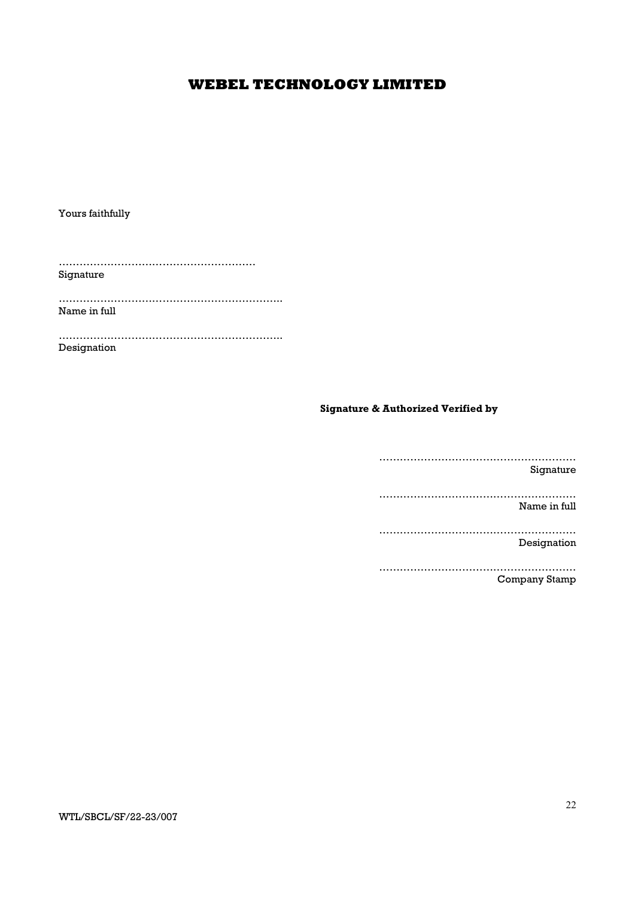Yours faithfully

………………………………………………… Signature

……………………………………………………….. Name in full

……………………………………………………….. Designation

Signature & Authorized Verified by

………………………………………………… Signature ………………………………………………… Name in full ………………………………………………… Designation …………………………………………………

Company Stamp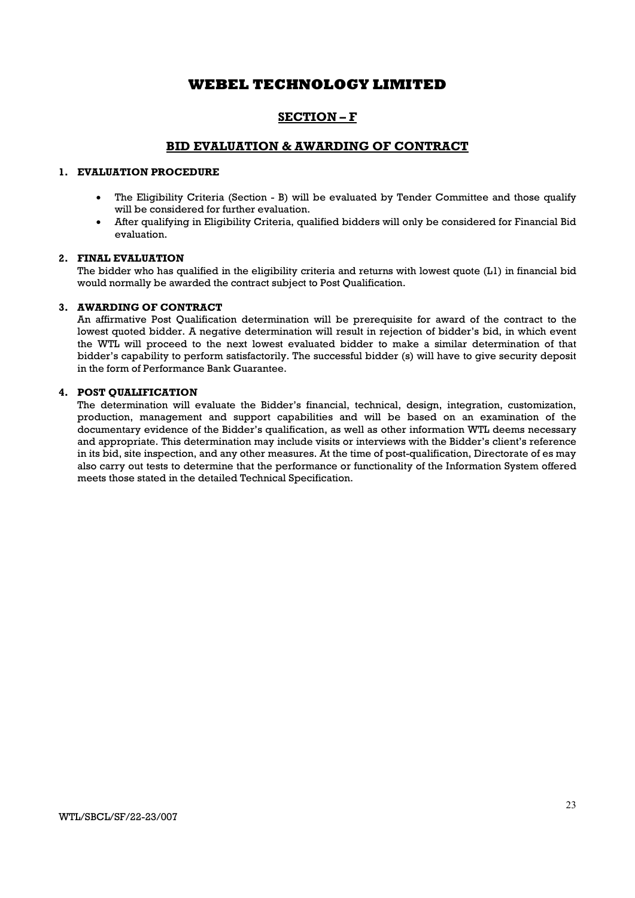## SECTION – F

### BID EVALUATION & AWARDING OF CONTRACT

### 1. EVALUATION PROCEDURE

- The Eligibility Criteria (Section B) will be evaluated by Tender Committee and those qualify will be considered for further evaluation.
- After qualifying in Eligibility Criteria, qualified bidders will only be considered for Financial Bid evaluation.

#### 2. FINAL EVALUATION

The bidder who has qualified in the eligibility criteria and returns with lowest quote (L1) in financial bid would normally be awarded the contract subject to Post Qualification.

#### 3. AWARDING OF CONTRACT

An affirmative Post Qualification determination will be prerequisite for award of the contract to the lowest quoted bidder. A negative determination will result in rejection of bidder's bid, in which event the WTL will proceed to the next lowest evaluated bidder to make a similar determination of that bidder's capability to perform satisfactorily. The successful bidder (s) will have to give security deposit in the form of Performance Bank Guarantee.

#### 4. POST QUALIFICATION

The determination will evaluate the Bidder's financial, technical, design, integration, customization, production, management and support capabilities and will be based on an examination of the documentary evidence of the Bidder's qualification, as well as other information WTL deems necessary and appropriate. This determination may include visits or interviews with the Bidder's client's reference in its bid, site inspection, and any other measures. At the time of post-qualification, Directorate of es may also carry out tests to determine that the performance or functionality of the Information System offered meets those stated in the detailed Technical Specification.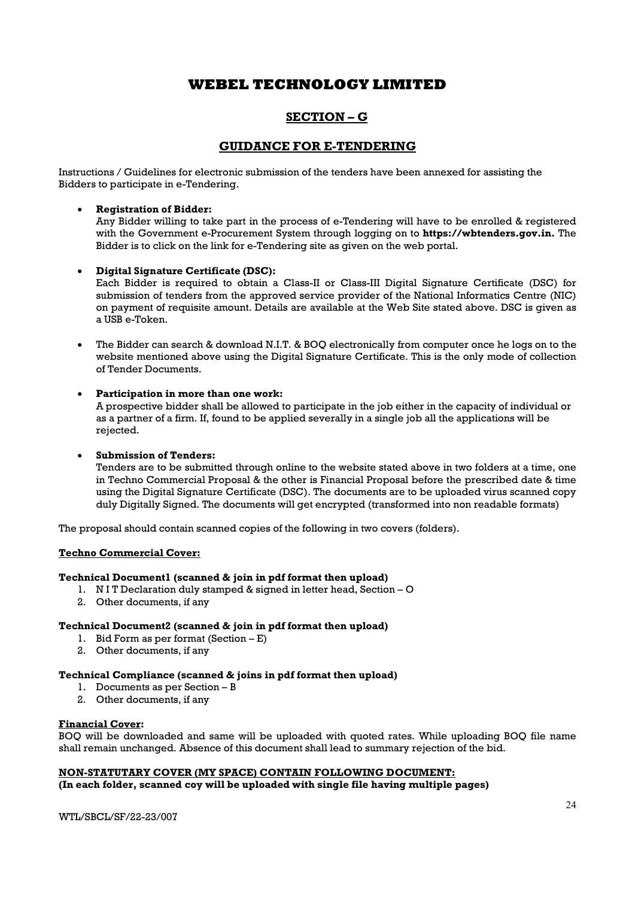# SECTION – G

## GUIDANCE FOR E-TENDERING

Instructions / Guidelines for electronic submission of the tenders have been annexed for assisting the Bidders to participate in e-Tendering.

### Registration of Bidder:

Any Bidder willing to take part in the process of e-Tendering will have to be enrolled & registered with the Government e-Procurement System through logging on to **https://wbtenders.gov.in.** The Bidder is to click on the link for e-Tendering site as given on the web portal.

### Digital Signature Certificate (DSC):

Each Bidder is required to obtain a Class-II or Class-III Digital Signature Certificate (DSC) for submission of tenders from the approved service provider of the National Informatics Centre (NIC) on payment of requisite amount. Details are available at the Web Site stated above. DSC is given as a USB e-Token.

 The Bidder can search & download N.I.T. & BOQ electronically from computer once he logs on to the website mentioned above using the Digital Signature Certificate. This is the only mode of collection of Tender Documents.

### Participation in more than one work:

A prospective bidder shall be allowed to participate in the job either in the capacity of individual or as a partner of a firm. If, found to be applied severally in a single job all the applications will be rejected.

#### Submission of Tenders:

Tenders are to be submitted through online to the website stated above in two folders at a time, one in Techno Commercial Proposal & the other is Financial Proposal before the prescribed date & time using the Digital Signature Certificate (DSC). The documents are to be uploaded virus scanned copy duly Digitally Signed. The documents will get encrypted (transformed into non readable formats)

The proposal should contain scanned copies of the following in two covers (folders).

#### Techno Commercial Cover:

#### Technical Document1 (scanned & join in pdf format then upload)

- 1. N I T Declaration duly stamped & signed in letter head, Section O
- 2. Other documents, if any

### Technical Document2 (scanned & join in pdf format then upload)

- 1. Bid Form as per format (Section E)
- 2. Other documents, if any

### Technical Compliance (scanned & joins in pdf format then upload)

- 1. Documents as per Section B
- 2. Other documents, if any

#### Financial Cover:

BOQ will be downloaded and same will be uploaded with quoted rates. While uploading BOQ file name shall remain unchanged. Absence of this document shall lead to summary rejection of the bid.

#### NON-STATUTARY COVER (MY SPACE) CONTAIN FOLLOWING DOCUMENT:

(In each folder, scanned coy will be uploaded with single file having multiple pages)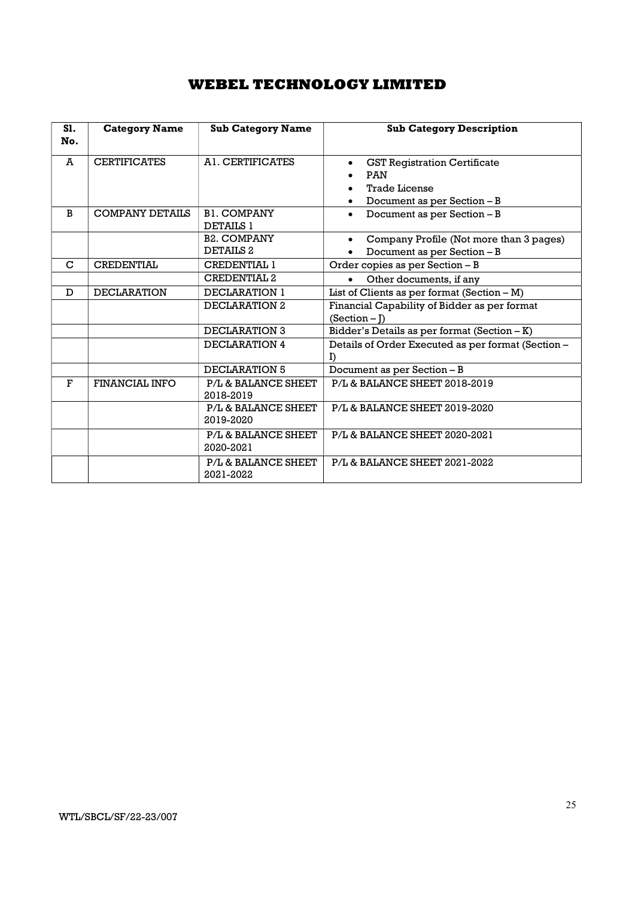| S1.<br>No.  | <b>Category Name</b>   | <b>Sub Category Name</b>                   | <b>Sub Category Description</b>                                                                                                    |  |
|-------------|------------------------|--------------------------------------------|------------------------------------------------------------------------------------------------------------------------------------|--|
| A           | <b>CERTIFICATES</b>    | AL CERTIFICATES                            | <b>GST Registration Certificate</b><br>$\bullet$<br><b>PAN</b><br><b>Trade License</b><br>Document as per Section - B<br>$\bullet$ |  |
| B           | <b>COMPANY DETAILS</b> | <b>B1. COMPANY</b><br><b>DETAILS 1</b>     | Document as per Section - B<br>$\bullet$                                                                                           |  |
|             |                        | <b>B2. COMPANY</b><br>DETAILS <sub>2</sub> | Company Profile (Not more than 3 pages)<br>$\bullet$<br>Document as per Section - B                                                |  |
| $\mathbf C$ | CREDENTIAL             | CREDENTIAL 1                               | Order copies as per Section - B                                                                                                    |  |
|             |                        | <b>CREDENTIAL 2</b>                        | Other documents, if any<br>$\bullet$                                                                                               |  |
| D           | <b>DECLARATION</b>     | DECLARATION 1                              | List of Clients as per format (Section $- M$ )                                                                                     |  |
|             |                        | DECLARATION 2                              | Financial Capability of Bidder as per format<br>$(Section - I)$                                                                    |  |
|             |                        | <b>DECLARATION 3</b>                       | Bidder's Details as per format (Section - K)                                                                                       |  |
|             |                        | DECLARATION 4                              | Details of Order Executed as per format (Section -<br>$\Gamma$                                                                     |  |
|             |                        | DECLARATION 5                              | Document as per Section - B                                                                                                        |  |
| F           | <b>FINANCIAL INFO</b>  | P/L & BALANCE SHEET<br>2018-2019           | P/L & BALANCE SHEET 2018-2019                                                                                                      |  |
|             |                        | P/L & BALANCE SHEET<br>2019-2020           | P/L & BALANCE SHEET 2019-2020                                                                                                      |  |
|             |                        | P/L & BALANCE SHEET<br>2020-2021           | P/L & BALANCE SHEET 2020-2021                                                                                                      |  |
|             |                        | P/L & BALANCE SHEET<br>2021-2022           | P/L & BALANCE SHEET 2021-2022                                                                                                      |  |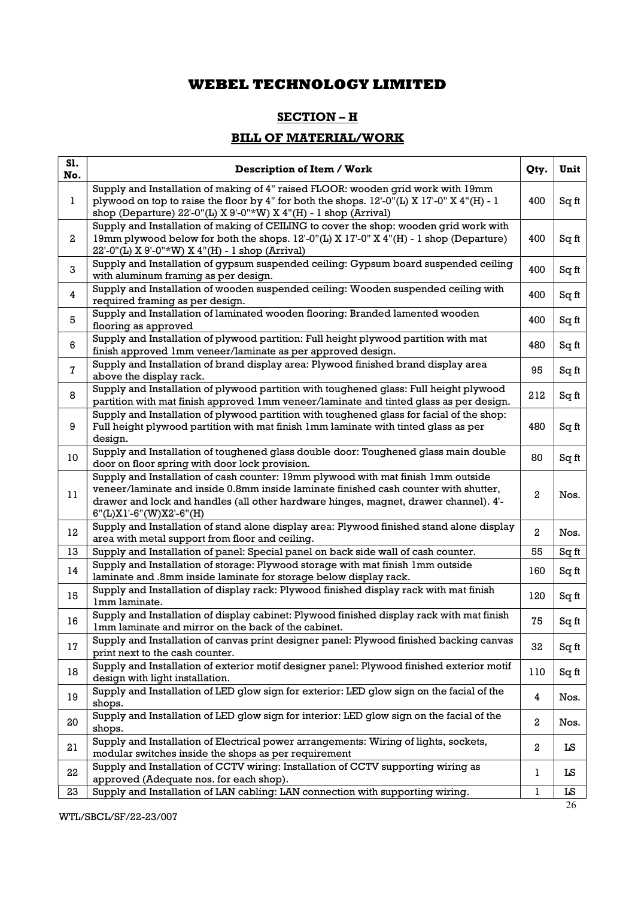## SECTION – H

# BILL OF MATERIAL/WORK

| S1.<br>No.       | <b>Description of Item / Work</b>                                                                                                                                                                                                                                                               | Qty.             | Unit  |
|------------------|-------------------------------------------------------------------------------------------------------------------------------------------------------------------------------------------------------------------------------------------------------------------------------------------------|------------------|-------|
| 1                | Supply and Installation of making of 4" raised FLOOR: wooden grid work with 19mm<br>plywood on top to raise the floor by 4" for both the shops. $12$ -0"(L) X $17$ -0" X 4"(H) - 1<br>shop (Departure) 22'-0"(L) X 9'-0"*W) X 4"(H) - 1 shop (Arrival)                                          | 400              | Sq ft |
| $\boldsymbol{2}$ | Supply and Installation of making of CEILING to cover the shop: wooden grid work with<br>19mm plywood below for both the shops. 12'-0"(L) X 17'-0" X 4"(H) - 1 shop (Departure)<br>22'-0"(L) X 9'-0"*W) X 4"(H) - 1 shop (Arrival)                                                              | 400              | Sq ft |
| 3                | Supply and Installation of gypsum suspended ceiling: Gypsum board suspended ceiling<br>with aluminum framing as per design.                                                                                                                                                                     | 400              | Sq ft |
| 4                | Supply and Installation of wooden suspended ceiling: Wooden suspended ceiling with<br>required framing as per design.                                                                                                                                                                           | 400              | Sq ft |
| 5                | Supply and Installation of laminated wooden flooring: Branded lamented wooden<br>flooring as approved                                                                                                                                                                                           | 400              | Sq ft |
| 6                | Supply and Installation of plywood partition: Full height plywood partition with mat<br>finish approved 1mm veneer/laminate as per approved design.                                                                                                                                             | 480              | Sq ft |
| $\overline{7}$   | Supply and Installation of brand display area: Plywood finished brand display area<br>above the display rack.                                                                                                                                                                                   | 95               | Sq ft |
| 8                | Supply and Installation of plywood partition with toughened glass: Full height plywood<br>partition with mat finish approved 1mm veneer/laminate and tinted glass as per design.                                                                                                                | 212              | Sq ft |
| 9                | Supply and Installation of plywood partition with toughened glass for facial of the shop:<br>Full height plywood partition with mat finish 1mm laminate with tinted glass as per<br>design.                                                                                                     | 480              | Sq ft |
| 10               | Supply and Installation of toughened glass double door: Toughened glass main double<br>door on floor spring with door lock provision.                                                                                                                                                           | 80               | Sq ft |
| 11               | Supply and Installation of cash counter: 19mm plywood with mat finish 1mm outside<br>veneer/laminate and inside 0.8mm inside laminate finished cash counter with shutter,<br>drawer and lock and handles (all other hardware hinges, magnet, drawer channel). 4'-<br>$6"$ (L)X1'-6"(W)X2'-6"(H) | 2                | Nos.  |
| 12               | Supply and Installation of stand alone display area: Plywood finished stand alone display<br>area with metal support from floor and ceiling.                                                                                                                                                    | $\mathbf{2}$     | Nos.  |
| 13               | Supply and Installation of panel: Special panel on back side wall of cash counter.                                                                                                                                                                                                              | 55               | Sq ft |
| 14               | Supply and Installation of storage: Plywood storage with mat finish 1mm outside<br>laminate and .8mm inside laminate for storage below display rack.                                                                                                                                            | 160              | Sq ft |
| 15               | Supply and Installation of display rack: Plywood finished display rack with mat finish<br>1mm laminate.                                                                                                                                                                                         | 120              | Sq ft |
| 16               | Supply and Installation of display cabinet: Plywood finished display rack with mat finish<br>Imm laminate and mirror on the back of the cabinet.                                                                                                                                                | 75               | Sq ft |
| 17               | Supply and Installation of canvas print designer panel: Plywood finished backing canvas<br>print next to the cash counter.                                                                                                                                                                      | 32               | Sq ft |
| 18               | Supply and Installation of exterior motif designer panel: Plywood finished exterior motif<br>design with light installation.                                                                                                                                                                    | 110              | Sq ft |
| 19               | Supply and Installation of LED glow sign for exterior: LED glow sign on the facial of the<br>shops.                                                                                                                                                                                             | 4                | Nos.  |
| 20               | Supply and Installation of LED glow sign for interior: LED glow sign on the facial of the<br>shops.                                                                                                                                                                                             | 2                | Nos.  |
| 21               | Supply and Installation of Electrical power arrangements: Wiring of lights, sockets,<br>modular switches inside the shops as per requirement                                                                                                                                                    | $\boldsymbol{2}$ | LS    |
| 22               | Supply and Installation of CCTV wiring: Installation of CCTV supporting wiring as<br>approved (Adequate nos. for each shop).                                                                                                                                                                    | 1                | LS    |
| 23               | Supply and Installation of LAN cabling: LAN connection with supporting wiring.                                                                                                                                                                                                                  | $\mathbf 1$      | LS    |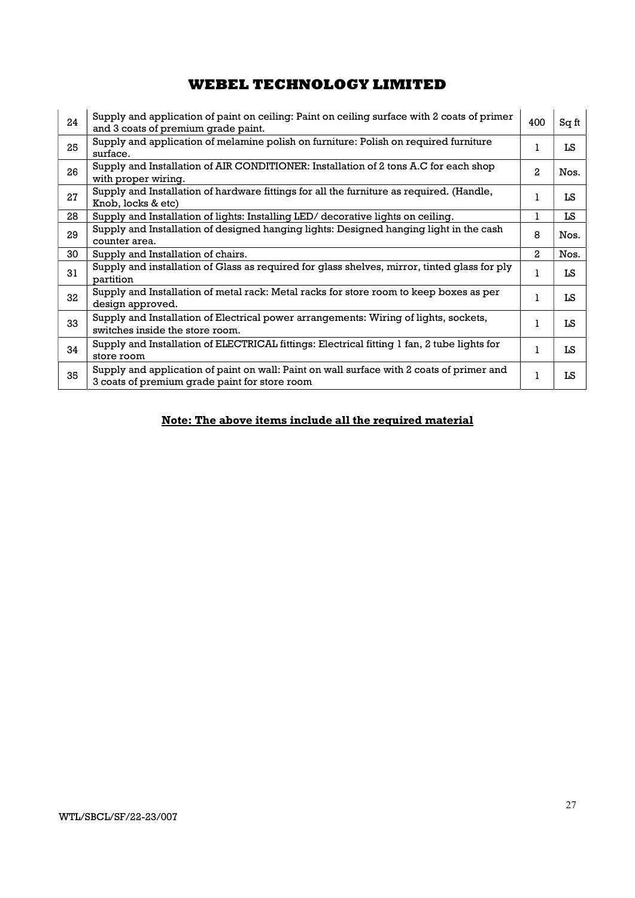| 24 | Supply and application of paint on ceiling: Paint on ceiling surface with 2 coats of primer<br>and 3 coats of premium grade paint.         | 400          | Sq ft |
|----|--------------------------------------------------------------------------------------------------------------------------------------------|--------------|-------|
| 25 | Supply and application of melamine polish on furniture: Polish on required furniture<br>surface.                                           | 1            | LS    |
| 26 | Supply and Installation of AIR CONDITIONER: Installation of 2 tons A.C for each shop<br>with proper wiring.                                | 2            | Nos.  |
| 27 | Supply and Installation of hardware fittings for all the furniture as required. (Handle,<br>Knob, locks & etc)                             |              | LS    |
| 28 | Supply and Installation of lights: Installing LED/ decorative lights on ceiling.                                                           | 1            | LS    |
| 29 | Supply and Installation of designed hanging lights: Designed hanging light in the cash<br>counter area.                                    | 8            | Nos.  |
| 30 | Supply and Installation of chairs.                                                                                                         | $\mathbf{2}$ | Nos.  |
| 31 | Supply and installation of Glass as required for glass shelves, mirror, tinted glass for ply<br>partition                                  | 1            | LS    |
| 32 | Supply and Installation of metal rack: Metal racks for store room to keep boxes as per<br>design approved.                                 |              | LS    |
| 33 | Supply and Installation of Electrical power arrangements: Wiring of lights, sockets,<br>switches inside the store room.                    |              | LS    |
| 34 | Supply and Installation of ELECTRICAL fittings: Electrical fitting 1 fan, 2 tube lights for<br>store room                                  |              | LS    |
| 35 | Supply and application of paint on wall: Paint on wall surface with 2 coats of primer and<br>3 coats of premium grade paint for store room | 1            | LS    |

# Note: The above items include all the required material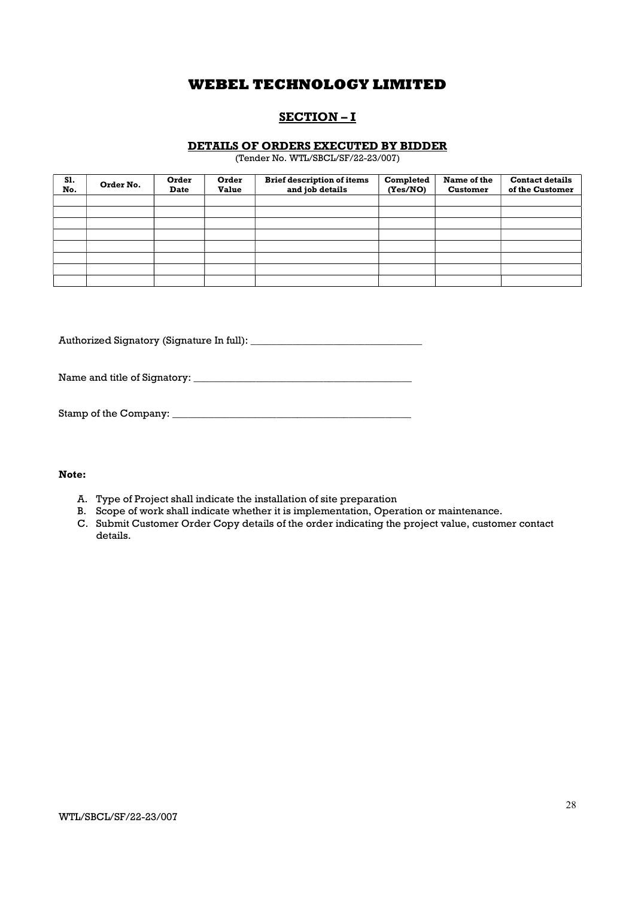# SECTION – I

### DETAILS OF ORDERS EXECUTED BY BIDDER

(Tender No. WTL/SBCL/SF/22-23/007)

| S1.<br>No. | Order No. | Order<br><b>Date</b> | Order<br><b>Value</b> | <b>Brief description of items</b><br>and job details | Completed<br>(Yes/NO) | Name of the<br><b>Customer</b> | <b>Contact details</b><br>of the Customer |
|------------|-----------|----------------------|-----------------------|------------------------------------------------------|-----------------------|--------------------------------|-------------------------------------------|
|            |           |                      |                       |                                                      |                       |                                |                                           |
|            |           |                      |                       |                                                      |                       |                                |                                           |
|            |           |                      |                       |                                                      |                       |                                |                                           |
|            |           |                      |                       |                                                      |                       |                                |                                           |
|            |           |                      |                       |                                                      |                       |                                |                                           |
|            |           |                      |                       |                                                      |                       |                                |                                           |
|            |           |                      |                       |                                                      |                       |                                |                                           |
|            |           |                      |                       |                                                      |                       |                                |                                           |

Authorized Signatory (Signature In full): \_\_\_\_\_\_\_\_\_\_\_\_\_\_\_\_\_\_\_\_\_\_\_\_\_\_\_\_\_\_\_\_\_

Name and title of Signatory: \_\_\_\_\_\_\_\_\_\_\_\_\_\_\_\_\_\_\_\_\_\_\_\_\_\_\_\_\_\_\_\_\_\_\_\_\_\_\_\_\_\_

Stamp of the Company: \_\_\_\_\_\_\_\_\_\_\_\_\_\_\_\_\_\_\_\_\_\_\_\_\_\_\_\_\_\_\_\_\_\_\_\_\_\_\_\_\_\_\_\_\_\_

### Note:

- A. Type of Project shall indicate the installation of site preparation
- B. Scope of work shall indicate whether it is implementation, Operation or maintenance.
- C. Submit Customer Order Copy details of the order indicating the project value, customer contact details.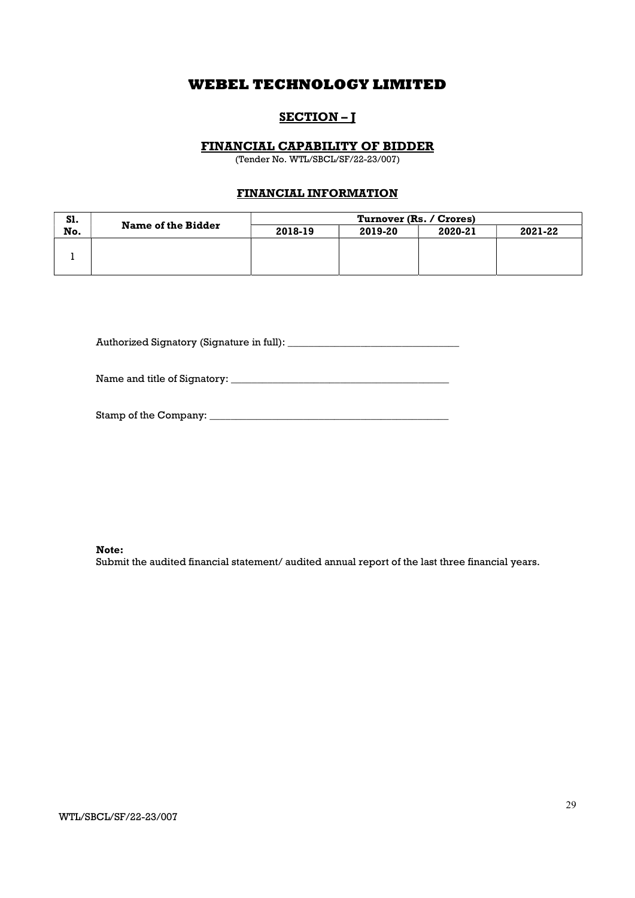# SECTION-J

### FINANCIAL CAPABILITY OF BIDDER

(Tender No. WTL/SBCL/SF/22-23/007)

## FINANCIAL INFORMATION

| S1. |                           | Turnover (Rs. / Crores) |         |         |         |
|-----|---------------------------|-------------------------|---------|---------|---------|
| No. | <b>Name of the Bidder</b> | 2018-19                 | 2019-20 | 2020-21 | 2021-22 |
|     |                           |                         |         |         |         |
|     |                           |                         |         |         |         |
|     |                           |                         |         |         |         |

Authorized Signatory (Signature in full): \_\_\_\_\_\_\_\_\_\_\_\_\_\_\_\_\_\_\_\_\_\_\_\_\_\_\_\_\_\_\_\_\_

Name and title of Signatory: \_\_\_\_\_\_\_\_\_\_\_\_\_\_\_\_\_\_\_\_\_\_\_\_\_\_\_\_\_\_\_\_\_\_\_\_\_\_\_\_\_\_

Stamp of the Company: \_\_\_\_\_\_\_\_\_\_\_\_\_\_\_\_\_\_\_\_\_\_\_\_\_\_\_\_\_\_\_\_\_\_\_\_\_\_\_\_\_\_\_\_\_\_

Note:

Submit the audited financial statement/ audited annual report of the last three financial years.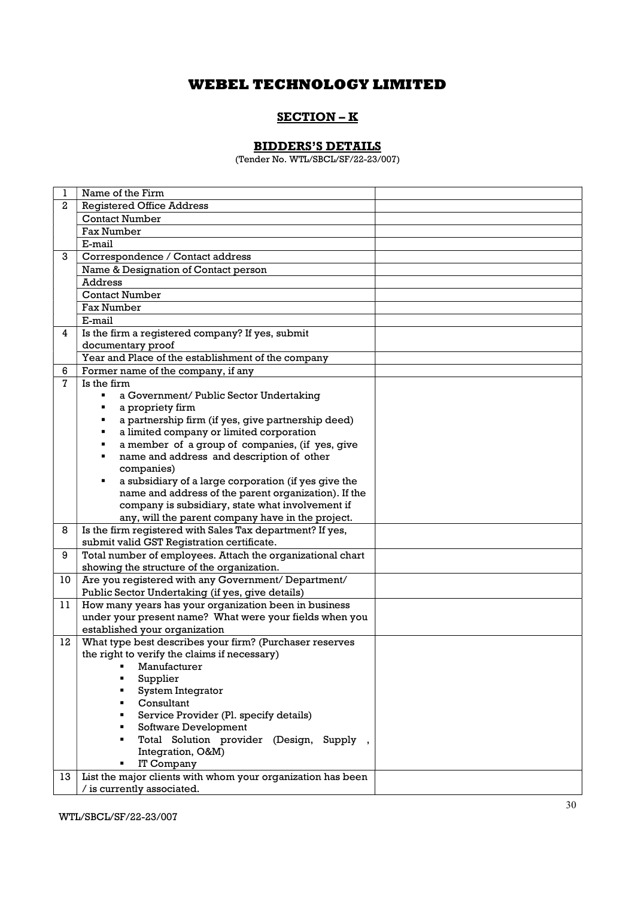# SECTION – K

# BIDDERS'S DETAILS

(Tender No. WTL/SBCL/SF/22-23/007)

| 1  | Name of the Firm                                                                                                 |  |
|----|------------------------------------------------------------------------------------------------------------------|--|
| 2  | <b>Registered Office Address</b>                                                                                 |  |
|    | <b>Contact Number</b>                                                                                            |  |
|    | <b>Fax Number</b>                                                                                                |  |
|    | E-mail                                                                                                           |  |
| 3  | Correspondence / Contact address                                                                                 |  |
|    | Name & Designation of Contact person                                                                             |  |
|    | <b>Address</b>                                                                                                   |  |
|    | <b>Contact Number</b>                                                                                            |  |
|    | <b>Fax Number</b>                                                                                                |  |
|    | E-mail                                                                                                           |  |
| 4  | Is the firm a registered company? If yes, submit                                                                 |  |
|    | documentary proof                                                                                                |  |
|    | Year and Place of the establishment of the company                                                               |  |
| 6  | Former name of the company, if any                                                                               |  |
| 7  | Is the firm                                                                                                      |  |
|    | a Government/ Public Sector Undertaking<br>$\blacksquare$                                                        |  |
|    | a propriety firm<br>٠                                                                                            |  |
|    | a partnership firm (if yes, give partnership deed)                                                               |  |
|    | a limited company or limited corporation<br>٠                                                                    |  |
|    | a member of a group of companies, (if yes, give<br>٠                                                             |  |
|    | name and address and description of other<br>٠                                                                   |  |
|    | companies)                                                                                                       |  |
|    | a subsidiary of a large corporation (if yes give the<br>٠                                                        |  |
|    | name and address of the parent organization). If the                                                             |  |
|    | company is subsidiary, state what involvement if                                                                 |  |
|    | any, will the parent company have in the project.                                                                |  |
| 8  | Is the firm registered with Sales Tax department? If yes,                                                        |  |
|    | submit valid GST Registration certificate.                                                                       |  |
| 9  | Total number of employees. Attach the organizational chart                                                       |  |
|    | showing the structure of the organization.                                                                       |  |
| 10 | Are you registered with any Government/ Department/                                                              |  |
|    | Public Sector Undertaking (if yes, give details)                                                                 |  |
| 11 | How many years has your organization been in business<br>under your present name? What were your fields when you |  |
|    | established your organization                                                                                    |  |
| 12 | What type best describes your firm? (Purchaser reserves                                                          |  |
|    | the right to verify the claims if necessary)                                                                     |  |
|    | Manufacturer                                                                                                     |  |
|    | Supplier                                                                                                         |  |
|    | System Integrator                                                                                                |  |
|    | Consultant                                                                                                       |  |
|    | Service Provider (Pl. specify details)                                                                           |  |
|    | Software Development                                                                                             |  |
|    | Total Solution provider (Design, Supply,                                                                         |  |
|    | Integration, O&M)                                                                                                |  |
|    | IT Company                                                                                                       |  |
| 13 | List the major clients with whom your organization has been                                                      |  |
|    | / is currently associated.                                                                                       |  |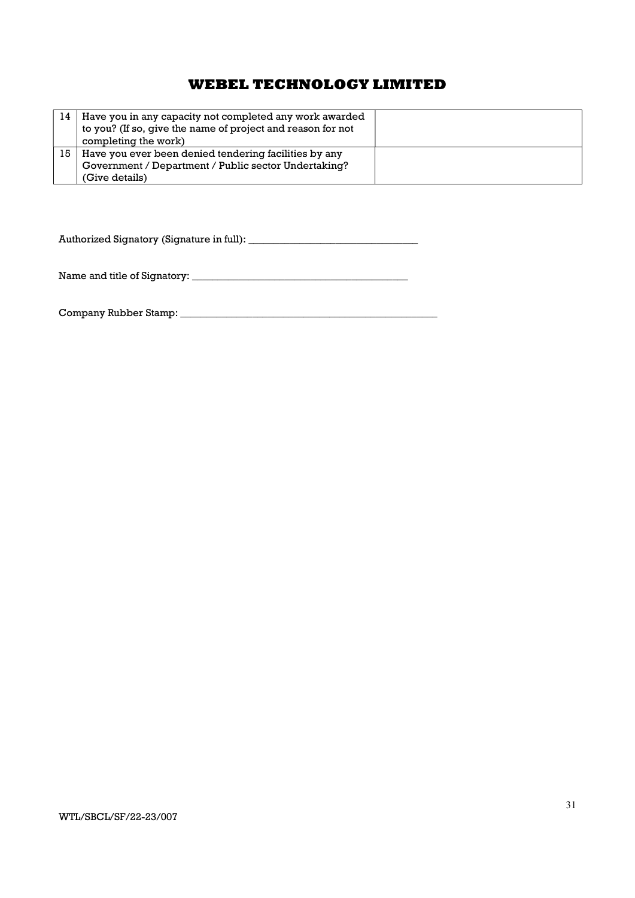| 14 | Have you in any capacity not completed any work awarded<br>to you? (If so, give the name of project and reason for not<br>completing the work) |  |
|----|------------------------------------------------------------------------------------------------------------------------------------------------|--|
| 15 | Have you ever been denied tendering facilities by any                                                                                          |  |
|    | Government / Department / Public sector Undertaking?                                                                                           |  |
|    | (Give details)                                                                                                                                 |  |

Authorized Signatory (Signature in full): \_\_\_\_\_\_\_\_\_\_\_\_\_\_\_\_\_\_\_\_\_\_\_\_\_\_\_\_\_\_\_\_\_

Name and title of Signatory: \_\_\_\_\_\_\_\_\_\_\_\_\_\_\_\_\_\_\_\_\_\_\_\_\_\_\_\_\_\_\_\_\_\_\_\_\_\_\_\_\_\_

Company Rubber Stamp: \_\_\_\_\_\_\_\_\_\_\_\_\_\_\_\_\_\_\_\_\_\_\_\_\_\_\_\_\_\_\_\_\_\_\_\_\_\_\_\_\_\_\_\_\_\_\_\_\_\_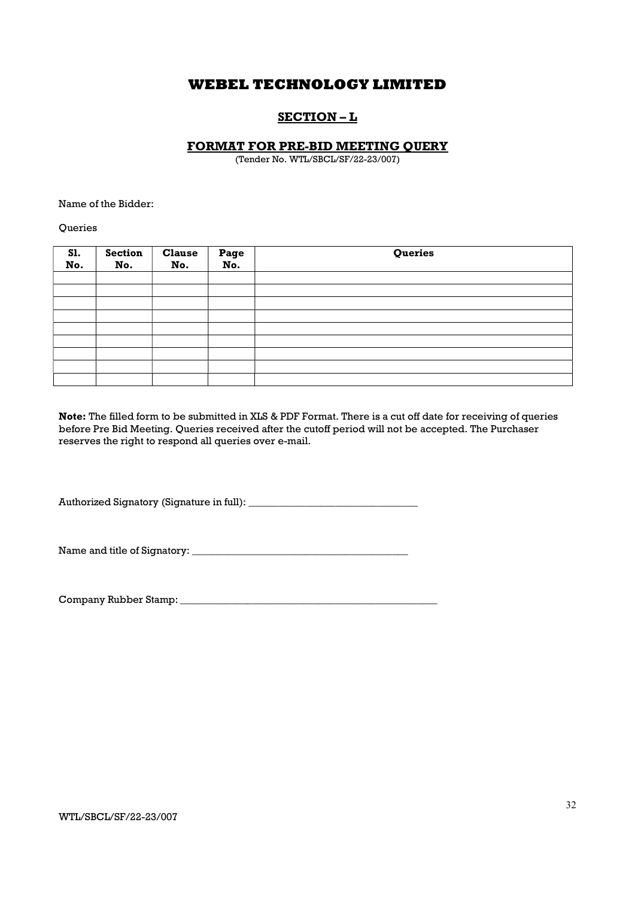# SECTION – L

#### FORMAT FOR PRE-BID MEETING QUERY

(Tender No. WTL/SBCL/SF/22-23/007)

Name of the Bidder:

**Queries** 

| <b>S1.</b><br>No. | <b>Section</b><br>No. | <b>Clause</b><br>No. | Page<br>No. | Queries |
|-------------------|-----------------------|----------------------|-------------|---------|
|                   |                       |                      |             |         |
|                   |                       |                      |             |         |
|                   |                       |                      |             |         |
|                   |                       |                      |             |         |
|                   |                       |                      |             |         |
|                   |                       |                      |             |         |
|                   |                       |                      |             |         |
|                   |                       |                      |             |         |
|                   |                       |                      |             |         |

Note: The filled form to be submitted in XLS & PDF Format. There is a cut off date for receiving of queries before Pre Bid Meeting. Queries received after the cutoff period will not be accepted. The Purchaser reserves the right to respond all queries over e-mail.

Authorized Signatory (Signature in full): \_\_\_\_\_\_\_\_\_\_\_\_\_\_\_\_\_\_\_\_\_\_\_\_\_\_\_\_\_\_\_\_\_

Name and title of Signatory: \_\_\_\_\_\_\_\_\_\_\_\_\_\_\_\_\_\_\_\_\_\_\_\_\_\_\_\_\_\_\_\_\_\_\_\_\_\_\_\_\_\_

Company Rubber Stamp: \_\_\_\_\_\_\_\_\_\_\_\_\_\_\_\_\_\_\_\_\_\_\_\_\_\_\_\_\_\_\_\_\_\_\_\_\_\_\_\_\_\_\_\_\_\_\_\_\_\_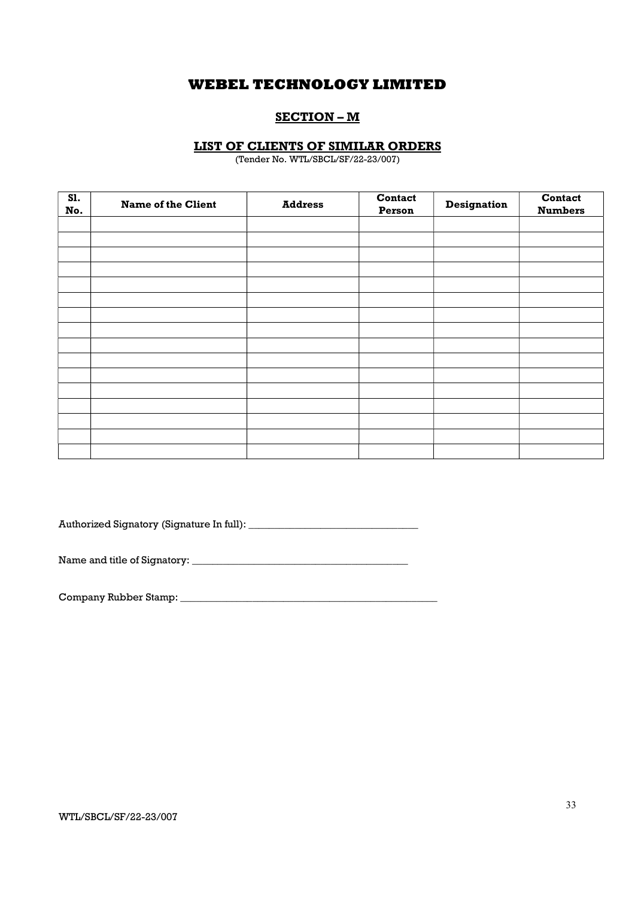## SECTION – M

### LIST OF CLIENTS OF SIMILAR ORDERS

(Tender No. WTL/SBCL/SF/22-23/007)

| S1.<br>No. | <b>Name of the Client</b> | <b>Address</b> | Contact<br>Person | Designation | Contact<br><b>Numbers</b> |
|------------|---------------------------|----------------|-------------------|-------------|---------------------------|
|            |                           |                |                   |             |                           |
|            |                           |                |                   |             |                           |
|            |                           |                |                   |             |                           |
|            |                           |                |                   |             |                           |
|            |                           |                |                   |             |                           |
|            |                           |                |                   |             |                           |
|            |                           |                |                   |             |                           |
|            |                           |                |                   |             |                           |
|            |                           |                |                   |             |                           |
|            |                           |                |                   |             |                           |
|            |                           |                |                   |             |                           |
|            |                           |                |                   |             |                           |
|            |                           |                |                   |             |                           |
|            |                           |                |                   |             |                           |
|            |                           |                |                   |             |                           |
|            |                           |                |                   |             |                           |

Authorized Signatory (Signature In full): \_\_\_\_\_\_\_\_\_\_\_\_\_\_\_\_\_\_\_\_\_\_\_\_\_\_\_\_\_\_\_\_\_

Name and title of Signatory: \_\_\_\_\_\_\_\_\_\_\_\_\_\_\_\_\_\_\_\_\_\_\_\_\_\_\_\_\_\_\_\_\_\_\_\_\_\_\_\_\_\_

Company Rubber Stamp: \_\_\_\_\_\_\_\_\_\_\_\_\_\_\_\_\_\_\_\_\_\_\_\_\_\_\_\_\_\_\_\_\_\_\_\_\_\_\_\_\_\_\_\_\_\_\_\_\_\_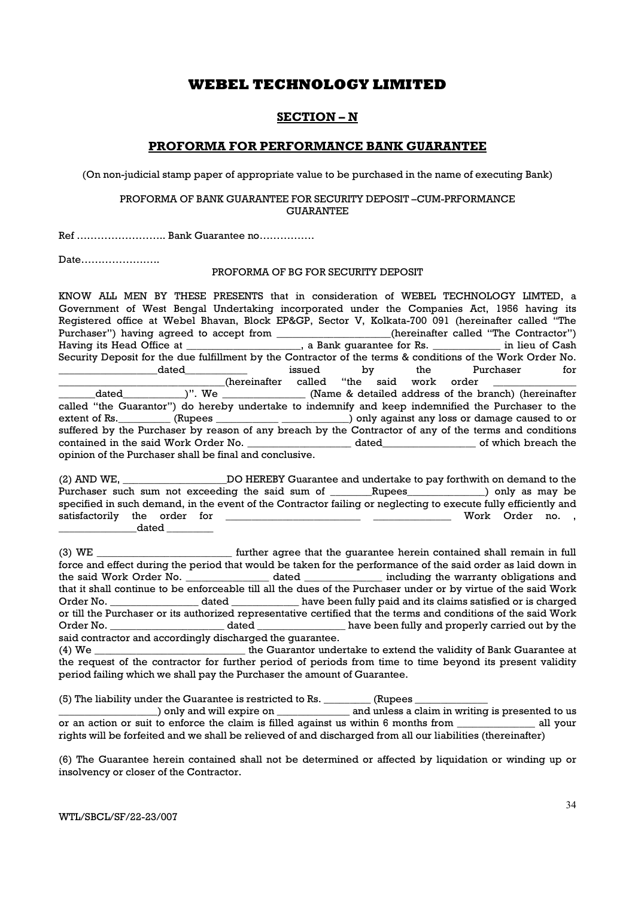## SECTION – N

### PROFORMA FOR PERFORMANCE BANK GUARANTEE

(On non-judicial stamp paper of appropriate value to be purchased in the name of executing Bank)

#### PROFORMA OF BANK GUARANTEE FOR SECURITY DEPOSIT –CUM-PRFORMANCE **GUARANTEE**

Ref …………………….. Bank Guarantee no…………….

Date…………………..

#### PROFORMA OF BG FOR SECURITY DEPOSIT

KNOW ALL MEN BY THESE PRESENTS that in consideration of WEBEL TECHNOLOGY LIMTED, a Government of West Bengal Undertaking incorporated under the Companies Act, 1956 having its Registered office at Webel Bhavan, Block EP&GP, Sector V, Kolkata-700 091 (hereinafter called "The Purchaser") having agreed to accept from \_\_\_\_\_\_\_\_\_\_\_\_\_\_\_\_(hereinafter called "The Contractor") Having its Head Office at \_\_\_\_\_\_\_\_\_\_\_\_\_\_\_\_\_, a Bank guarantee for Rs. \_\_\_\_\_\_\_\_\_\_\_\_\_\_ in lieu of Cash Security Deposit for the due fulfillment by the Contractor of the terms & conditions of the Work Order No. dated a controller issued by the Purchaser for  $_$  (hereinafter called "the said work order \_\_\_\_\_\_\_dated\_\_\_\_\_\_\_\_\_\_\_\_)". We \_\_\_\_\_\_\_\_\_\_\_\_\_\_\_\_ (Name & detailed address of the branch) (hereinafter called "the Guarantor") do hereby undertake to indemnify and keep indemnified the Purchaser to the extent of Rs. \_\_\_\_\_\_\_\_ (Rupees \_\_\_\_\_\_\_\_\_\_\_\_\_\_\_\_\_\_\_\_\_\_\_\_\_) only against any loss or damage caused to or suffered by the Purchaser by reason of any breach by the Contractor of any of the terms and conditions contained in the said Work Order No. \_\_\_\_\_\_\_\_\_\_\_\_\_\_\_\_\_\_\_\_ dated\_\_\_\_\_\_\_\_\_\_\_\_\_\_\_\_\_\_ of which breach the opinion of the Purchaser shall be final and conclusive.

(2) AND WE, \_\_\_\_\_\_\_\_\_\_\_\_\_\_\_\_\_\_\_\_DO HEREBY Guarantee and undertake to pay forthwith on demand to the Purchaser such sum not exceeding the said sum of \_\_\_\_\_\_Rupees\_\_\_\_\_\_\_\_\_\_\_\_) only as may be specified in such demand, in the event of the Contractor failing or neglecting to execute fully efficiently and satisfactorily the order for \_\_\_\_\_\_\_\_\_\_\_\_\_\_\_\_\_\_\_\_\_\_\_\_\_\_ \_\_\_\_\_\_\_\_\_\_\_\_\_\_\_ Work Order no. ,  $\_$  dated  $\_$ 

(3) WE \_\_\_\_\_\_\_\_\_\_\_\_\_\_\_\_\_\_\_\_\_\_\_\_\_\_ further agree that the guarantee herein contained shall remain in full force and effect during the period that would be taken for the performance of the said order as laid down in the said Work Order No. \_\_\_\_\_\_\_\_\_\_\_\_\_\_\_\_ dated \_\_\_\_\_\_\_\_\_\_\_\_\_\_\_ including the warranty obligations and that it shall continue to be enforceable till all the dues of the Purchaser under or by virtue of the said Work Order No. **Example 2** dated the same been fully paid and its claims satisfied or is charged or till the Purchaser or its authorized representative certified that the terms and conditions of the said Work Order No. \_\_\_\_\_\_\_\_\_\_\_\_\_\_\_\_\_\_\_\_\_\_ dated \_\_\_\_\_\_\_\_\_\_\_\_\_\_\_\_\_ have been fully and properly carried out by the said contractor and accordingly discharged the guarantee.

(4) We \_\_\_\_\_\_\_\_\_\_\_\_\_\_\_\_\_\_\_\_\_\_\_\_\_\_\_\_\_ the Guarantor undertake to extend the validity of Bank Guarantee at the request of the contractor for further period of periods from time to time beyond its present validity period failing which we shall pay the Purchaser the amount of Guarantee.

(5) The liability under the Guarantee is restricted to Rs. \_\_\_\_\_\_\_\_\_ (Rupees \_\_\_\_\_\_\_\_\_\_\_\_\_\_

) only and will expire on  $\qquad \qquad$  and unless a claim in writing is presented to us or an action or suit to enforce the claim is filled against us within 6 months from \_\_\_\_\_\_\_\_\_\_\_\_\_\_\_ all your rights will be forfeited and we shall be relieved of and discharged from all our liabilities (thereinafter)

(6) The Guarantee herein contained shall not be determined or affected by liquidation or winding up or insolvency or closer of the Contractor.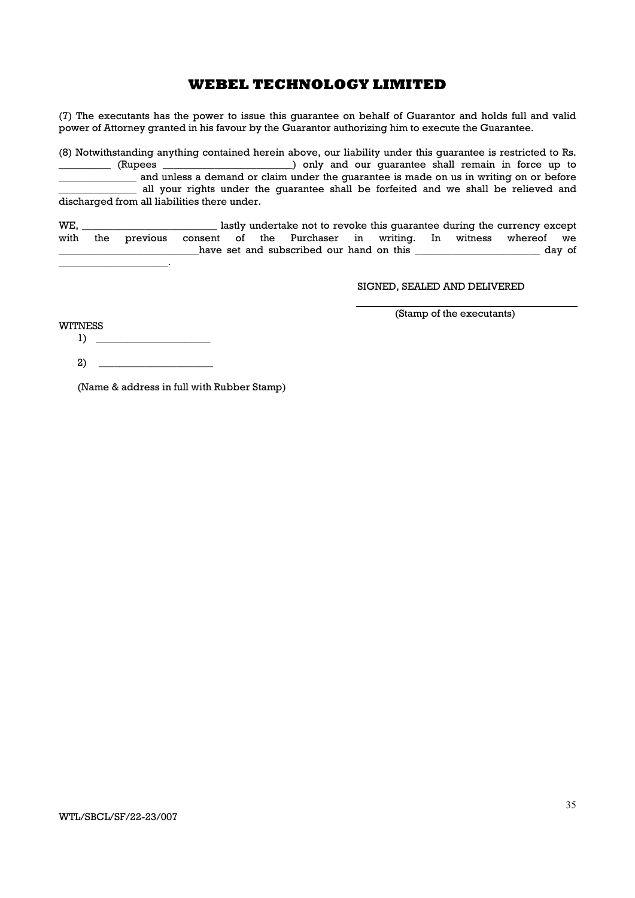(7) The executants has the power to issue this guarantee on behalf of Guarantor and holds full and valid power of Attorney granted in his favour by the Guarantor authorizing him to execute the Guarantee.

(8) Notwithstanding anything contained herein above, our liability under this guarantee is restricted to Rs. \_\_\_\_\_\_\_\_\_\_ (Rupees \_\_\_\_\_\_\_\_\_\_\_\_\_\_\_\_\_\_\_\_\_\_\_\_\_) only and our guarantee shall remain in force up to and unless a demand or claim under the guarantee is made on us in writing on or before all your rights under the guarantee shall be forfeited and we shall be relieved and discharged from all liabilities there under.

WE, \_\_\_\_\_\_\_\_\_\_\_\_\_\_\_\_\_\_\_\_\_\_\_\_\_\_ lastly undertake not to revoke this guarantee during the currency except with the previous consent of the Purchaser in writing. In witness whereof we have set and subscribed our hand on this \_\_\_\_\_\_\_\_\_\_\_\_\_\_\_\_\_\_\_\_\_\_\_\_\_ day of

SIGNED, SEALED AND DELIVERED

(Stamp of the executants)

WITNESS 1) \_\_\_\_\_\_\_\_\_\_\_\_\_\_\_\_\_\_\_\_\_\_

\_\_\_\_\_\_\_\_\_\_\_\_\_\_\_\_\_\_\_\_\_.

2) \_\_\_\_\_\_\_\_\_\_\_\_\_\_\_\_\_\_\_\_\_\_

(Name & address in full with Rubber Stamp)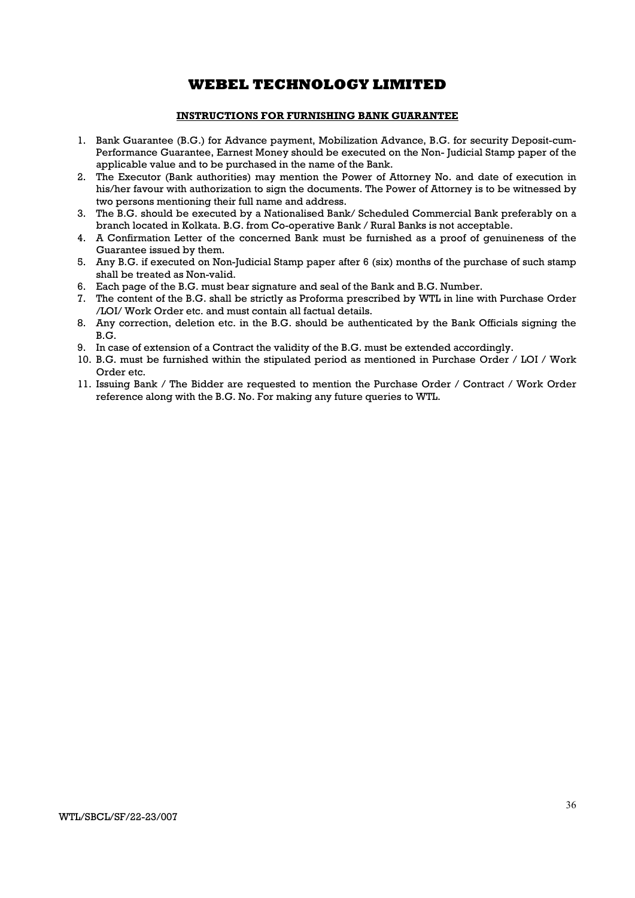### INSTRUCTIONS FOR FURNISHING BANK GUARANTEE

- 1. Bank Guarantee (B.G.) for Advance payment, Mobilization Advance, B.G. for security Deposit-cum-Performance Guarantee, Earnest Money should be executed on the Non- Judicial Stamp paper of the applicable value and to be purchased in the name of the Bank.
- 2. The Executor (Bank authorities) may mention the Power of Attorney No. and date of execution in his/her favour with authorization to sign the documents. The Power of Attorney is to be witnessed by two persons mentioning their full name and address.
- 3. The B.G. should be executed by a Nationalised Bank/ Scheduled Commercial Bank preferably on a branch located in Kolkata. B.G. from Co-operative Bank / Rural Banks is not acceptable.
- 4. A Confirmation Letter of the concerned Bank must be furnished as a proof of genuineness of the Guarantee issued by them.
- 5. Any B.G. if executed on Non-Judicial Stamp paper after 6 (six) months of the purchase of such stamp shall be treated as Non-valid.
- 6. Each page of the B.G. must bear signature and seal of the Bank and B.G. Number.
- 7. The content of the B.G. shall be strictly as Proforma prescribed by WTL in line with Purchase Order /LOI/ Work Order etc. and must contain all factual details.
- 8. Any correction, deletion etc. in the B.G. should be authenticated by the Bank Officials signing the B.G.
- 9. In case of extension of a Contract the validity of the B.G. must be extended accordingly.
- 10. B.G. must be furnished within the stipulated period as mentioned in Purchase Order / LOI / Work Order etc.
- 11. Issuing Bank / The Bidder are requested to mention the Purchase Order / Contract / Work Order reference along with the B.G. No. For making any future queries to WTL.